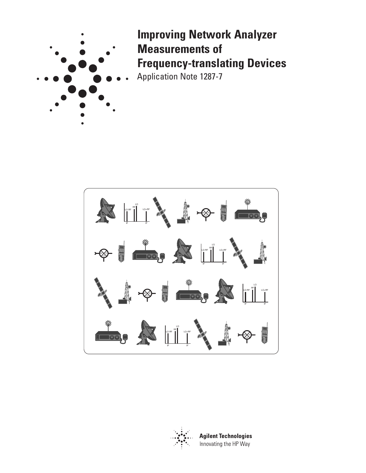

# **Improving Network Analyzer Measurements of Frequency-translating Devices** Application Note 1287-7

文 LO-RF<sup>RF</sup>I LO+RF Z F IF IF LO-RF<br>LO-RF II LO+RF Z F IF IF LO-RF<sup>RF</sup>I LO+RF RF IF IF IF LO-RF<sup>RF</sup>I LO+RF RF IFIF IF



**Agilent Technologies** Innovating the HP Way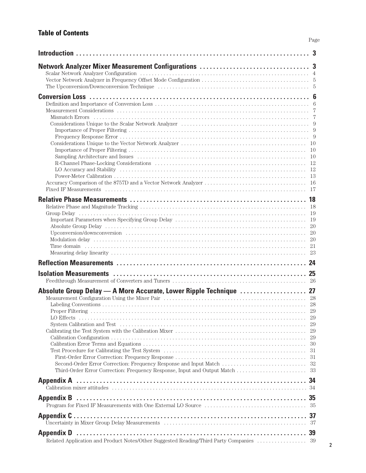# **Table of Contents**

|                                                                    | 20                         |
|--------------------------------------------------------------------|----------------------------|
|                                                                    |                            |
|                                                                    |                            |
| Absolute Group Delay — A More Accurate, Lower Ripple Technique  27 | 29<br>29<br>30<br>31<br>31 |
|                                                                    |                            |
|                                                                    |                            |
|                                                                    |                            |
|                                                                    |                            |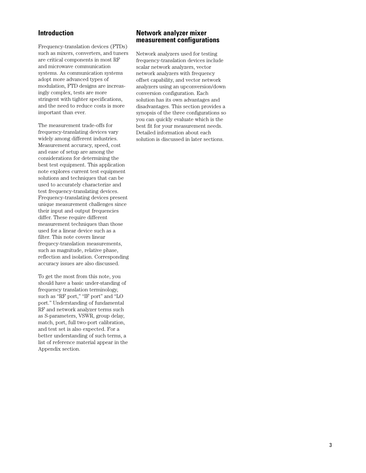## **Introduction**

Frequency-translation devices (FTDs) such as mixers, converters, and tuners are critical components in most RF and microwave communication systems. As communication systems adopt more advanced types of modulation, FTD designs are increasingly complex, tests are more stringent with tighter specifications, and the need to reduce costs is more important than ever.

The measurement trade-offs for frequency-translating devices vary widely among different industries. Measurement accuracy, speed, cost and ease of setup are among the considerations for determining the best test equipment. This application note explores current test equipment solutions and techniques that can be used to accurately characterize and test frequency-translating devices. Frequency-translating devices present unique measurement challenges since their input and output frequencies differ. These require different measurement techniques than those used for a linear device such as a filter. This note covers linear frequecy-translation measurements, such as magnitude, relative phase, reflection and isolation. Corresponding accuracy issues are also discussed.

To get the most from this note, you should have a basic under-standing of frequency translation terminology, such as "RF port," "IF port" and "LO port." Understanding of fundamental RF and network analyzer terms such as S-parameters, VSWR, group delay, match, port, full two-port calibration, and test set is also expected. For a better understanding of such terms, a list of reference material appear in the Appendix section.

## **Network analyzer mixer measurement configurations**

Network analyzers used for testing frequency-translation devices include scalar network analyzers, vector network analyzers with frequency offset capability, and vector network analyzers using an upconversion/down conversion configuration. Each solution has its own advantages and disadvantages. This section provides a synopsis of the three configurations so you can quickly evaluate which is the best fit for your measurement needs. Detailed information about each solution is discussed in later sections.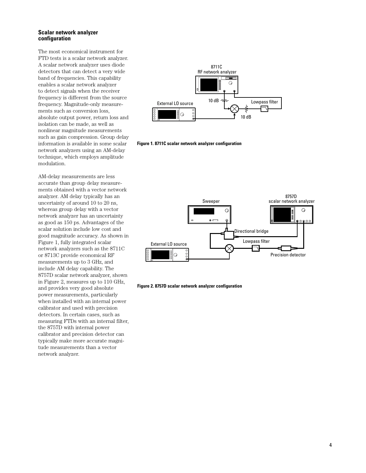#### **Scalar network analyzer configuration**

The most economical instrument for FTD tests is a scalar network analyzer. A scalar network analyzer uses diode detectors that can detect a very wide band of frequencies. This capability enables a scalar network analyzer to detect signals when the receiver frequency is different from the source frequency. Magnitude-only measurements such as conversion loss, absolute output power, return loss and isolation can be made, as well as nonlinear magnitude measurements such as gain compression. Group delay information is available in some scalar network analyzers using an AM-delay technique, which employs amplitude modulation.

AM-delay measurements are less accurate than group delay measurements obtained with a vector network analyzer. AM delay typically has an uncertainty of around 10 to 20 ns, whereas group delay with a vector network analyzer has an uncertainty as good as 150 ps. Advantages of the scalar solution include low cost and good magnitude accuracy. As shown in Figure 1, fully integrated scalar network analyzers such as the 8711C or 8713C provide economical RF measurements up to 3 GHz, and include AM delay capability. The 8757D scalar network analyzer, shown in Figure 2, measures up to 110 GHz, and provides very good absolute power measurements, particularly when installed with an internal power calibrator and used with precision detectors. In certain cases, such as measuring FTDs with an internal filter, the 8757D with internal power calibrator and precision detector can typically make more accurate magnitude measurements than a vector network analyzer.



**Figure 1. 8711C scalar network analyzer configuration**



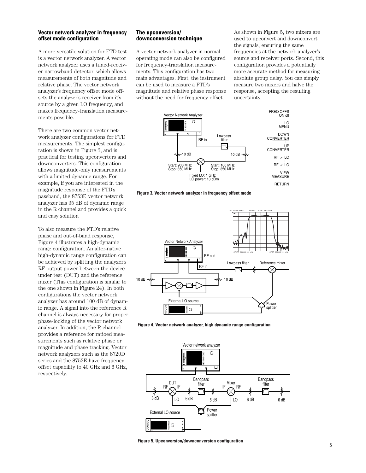#### **Vector network analyzer in frequency offset mode configuration**

A more versatile solution for FTD test is a vector network analyzer. A vector network analyzer uses a tuned-receiver narrowband detector, which allows measurements of both magnitude and relative phase. The vector network analyzer's frequency offset mode offsets the analyzer's receiver from it's source by a given LO frequency, and makes frequency-translation measurements possible.

There are two common vector network analyzer configurations for FTD measurements. The simplest configuration is shown in Figure 3, and is practical for testing upconverters and downconverters. This configuration allows magnitude-only measurements with a limited dynamic range. For example, if you are interested in the magnitude response of the FTD's passband, the 8753E vector network analyzer has 35 dB of dynamic range in the R channel and provides a quick and easy solution

To also measure the FTD's relative phase and out-of-band response, Figure 4 illustrates a high-dynamic range configuration. An alter-native high-dynamic range configuration can be achieved by splitting the analyzer's RF output power between the device under test (DUT) and the reference mixer (This configuration is similar to the one shown in Figure 24). In both configurations the vector network analyzer has around 100 dB of dynamic range. A signal into the reference R channel is always necessary for proper phase-locking of the vector network analyzer. In addition, the R channel provides a reference for ratioed measurements such as relative phase or magnitude and phase tracking. Vector network analyzers such as the 8720D series and the 8753E have frequency offset capability to 40 GHz and 6 GHz, respectively.

#### **The upconversion/ downconversion technique**

A vector network analyzer in normal operating mode can also be configured for frequency-translation measurements. This configuration has two main advantages. First, the instrument can be used to measure a FTD's magnitude and relative phase response without the need for frequency offset.

As shown in Figure 5, two mixers are used to upconvert and downconvert the signals, ensuring the same frequencies at the network analyzer's source and receiver ports. Second, this configuration provides a potentially more accurate method for measuring absolute group delay. You can simply measure two mixers and halve the response, accepting the resulting uncertainty.



**Figure 3. Vector network analyzer in frequency offset mode**



**Figure 4. Vector network analyzer, high dynamic range configuration**



**Figure 5. Upconversion/downconversion configuration**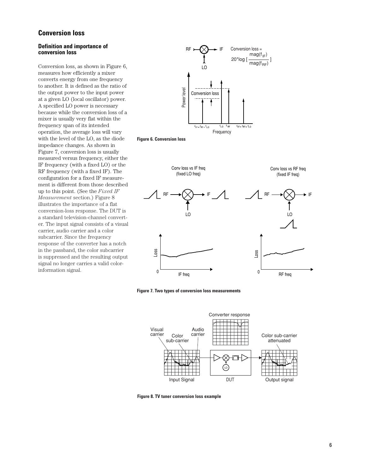# **Conversion loss**

#### **Definition and importance of conversion loss**

Conversion loss, as shown in Figure 6, measures how efficiently a mixer converts energy from one frequency to another. It is defined as the ratio of the output power to the input power at a given LO (local oscillator) power. A specified LO power is necessary because while the conversion loss of a mixer is usually very flat within the frequency span of its intended operation, the average loss will vary with the level of the LO, as the diode impedance changes. As shown in Figure 7, conversion loss is usually measured versus frequency, either the IF frequency (with a fixed LO) or the RF frequency (with a fixed IF). The configuration for a fixed IF measurement is different from those described up to this point. (See the *Fixed IF Measurement* section.) Figure 8 illustrates the importance of a flat conversion-loss response. The DUT is a standard television-channel converter. The input signal consists of a visual carrier, audio carrier and a color subcarrier. Since the frequency response of the converter has a notch in the passband, the color subcarrier is suppressed and the resulting output signal no longer carries a valid colorinformation signal.



**Figure 6. Conversion loss**



**Figure 7. Two types of conversion loss measurements**



**Figure 8. TV tuner conversion loss example**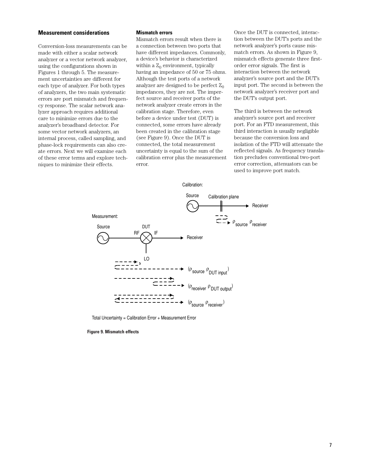#### **Measurement considerations**

Conversion-loss measurements can be made with either a scalar network analyzer or a vector network analyzer, using the configurations shown in Figures 1 through 5. The measurement uncertainties are different for each type of analyzer. For both types of analyzers, the two main systematic errors are port mismatch and frequency response. The scalar network analyzer approach requires additional care to minimize errors due to the analyzer's broadband detector. For some vector network analyzers, an internal process, called sampling, and phase-lock requirements can also create errors. Next we will examine each of these error terms and explore techniques to minimize their effects.

#### **Mismatch errors**

Mismatch errors result when there is a connection between two ports that have different impedances. Commonly, a device's behavior is characterized within a  $Z_0$  environment, typically having an impedance of 50 or 75 ohms. Although the test ports of a network analyzer are designed to be perfect  $Z_0$ impedances, they are not. The imperfect source and receiver ports of the network analyzer create errors in the calibration stage. Therefore, even before a device under test (DUT) is connected, some errors have already been created in the calibration stage (see Figure 9). Once the DUT is connected, the total measurement uncertainty is equal to the sum of the calibration error plus the measurement error.

Once the DUT is connected, interaction between the DUT's ports and the network analyzer's ports cause mismatch errors. As shown in Figure 9, mismatch effects generate three firstorder error signals. The first is interaction between the network analyzer's source port and the DUT's input port. The second is between the network analyzer's receiver port and the DUT's output port.

The third is between the network analyzer's source port and receiver port. For an FTD measurement, this third interaction is usually negligible because the conversion loss and isolation of the FTD will attenuate the reflected signals. As frequency translation precludes conventional two-port error correction, attenuators can be used to improve port match.



Total Uncertainty = Calibration Error + Measurement Error

**Figure 9. Mismatch effects**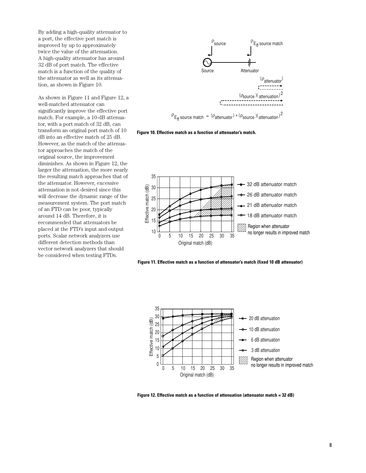By adding a high-quality attenuator to a port, the effective port match is improved by up to approximately twice the value of the attenuation. A high-quality attenuator has around 32 dB of port match. The effective match is a function of the quality of the attenuator as well as its attenuation, as shown in Figure 10.

As shown in Figure 11 and Figure 12, a well-matched attenuator can significantly improve the effective port match. For example, a 10-dB attenuator, with a port match of 32 dB, can transform an original port match of 10 dB into an effective match of 25 dB. However, as the match of the attenuator approaches the match of the original source, the improvement diminishes. As shown in Figure 12, the larger the attenuation, the more nearly the resulting match approaches that of the attenuator. However, excessive attenuation is not desired since this will decrease the dynamic range of the measurement system. The port match of an FTD can be poor, typically around 14 dB. Therefore, it is recommended that attenuators be placed at the FTD's input and output ports. Scalar network analyzers use different detection methods than vector network analyzers that should be considered when testing FTDs.



**Figure 10. Effective match as a function of attenuator's match.** 







**Figure 12. Effective match as a function of attenuation (attenuator match = 32 dB)**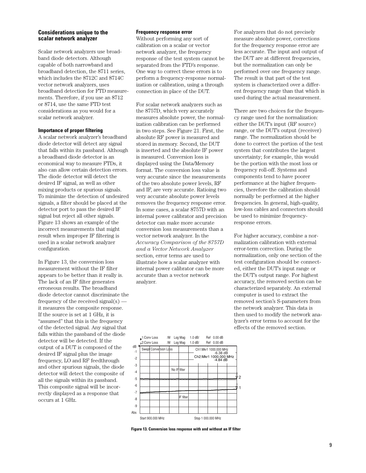#### **Considerations unique to the scalar network analyzer**

Scalar network analyzers use broadband diode detectors. Although capable of both narrowband and broadband detection, the 8711 series, which includes the 8712C and 8714C vector network analyzers, uses broadband detection for FTD measurements. Therefore, if you use an 8712 or 8714, use the same FTD test considerations as you would for a scalar network analyzer.

#### **Importance of proper filtering**

A scalar network analyzer's broadband diode detector will detect any signal that falls within its passband. Although a broadband diode detector is an economical way to measure FTDs, it also can allow certain detection errors. The diode detector will detect the desired IF signal, as well as other mixing products or spurious signals. To minimize the detection of undesired signals, a filter should be placed at the detector port to pass the desired IF signal but reject all other signals. Figure 13 shows an example of the incorrect measurements that might result when improper IF filtering is used in a scalar network analyzer configuration.

In Figure 13, the conversion loss measurement without the IF filter appears to be better than it really is. The lack of an IF filter generates erroneous results. The broadband diode detector cannot discriminate the frequency of the received signal(s) it measures the composite response. If the source is set at 1 GHz, it is "assumed" that this is the frequency of the detected signal. Any signal that falls within the passband of the diode detector will be detected. If the output of a DUT is composed of the desired IF signal plus the image frequency, LO and RF feedthrough and other spurious signals, the diode detector will detect the composite of all the signals within its passband. This composite signal will be incorrectly displayed as a response that occurs at 1 GHz.

#### **Frequency response error**

Without performing any sort of calibration on a scalar or vector network analyzer, the frequency response of the test system cannot be separated from the FTD's response. One way to correct these errors is to perform a frequency-response normalization or calibration, using a through connection in place of the DUT.

For scalar network analyzers such as the 8757D, which very accurately measures absolute power, the normalization calibration can be performed in two steps. See Figure 21. First, the absolute RF power is measured and stored in memory. Second, the DUT is inserted and the absolute IF power is measured. Conversion loss is displayed using the Data/Memory format. The conversion loss value is very accurate since the measurements of the two absolute power levels, RF and IF, are very accurate. Ratioing two very accurate absolute power levels removes the frequency response error. In some cases, a scalar 8757D with an internal power calibrator and precision detector can make more accurate conversion loss measurements than a vector network analyzer. In the *Accuracy Comparison of the 8757D and a Vector Network Analyzer* section, error terms are used to illustrate how a scalar analyzer with internal power calibrator can be more accurate than a vector network analyzer.

For analyzers that do not precisely measure absolute power, corrections for the frequency response error are less accurate. The input and output of the DUT are at different frequencies, but the normalization can only be performed over one frequency range. The result is that part of the test system is characterized over a different frequency range than that which is used during the actual measurement.

There are two choices for the frequency range used for the normalization: either the DUT's input (RF source) range, or the DUT's output (receiver) range. The normalization should be done to correct the portion of the test system that contributes the largest uncertainty; for example, this would be the portion with the most loss or frequency roll-off. Systems and components tend to have poorer performance at the higher frequencies, therefore the calibration should normally be performed at the higher frequencies. In general, high-quality, low-loss cables and connectors should be used to minimize frequencyresponse errors.

For higher accuracy, combine a normalization calibration with external error-term correction. During the normalization, only one section of the test configuration should be connected, either the DUT's input range or the DUT's output range. For highest accuracy, the removed section can be characterized separately. An external computer is used to extract the removed section's S-parameters from the network analyzer. This data is then used to modify the network analyzer's error terms to account for the effects of the removed section.



**Figure 13. Conversion loss response with and without an IF filter**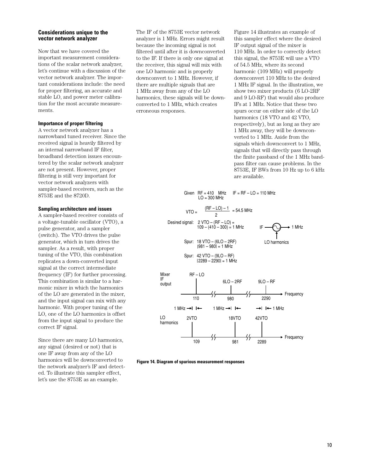#### **Considerations unique to the vector network analyzer**

Now that we have covered the important measurement considerations of the scalar network analyzer, let's continue with a discussion of the vector network analyzer. The important considerations include: the need for proper filtering, an accurate and stable LO, and power meter calibration for the most accurate measurements.

#### **Importance of proper filtering**

A vector network analyzer has a narrowband tuned receiver. Since the received signal is heavily filtered by an internal narrowband IF filter, broadband detection issues encountered by the scalar network analyzer are not present. However, proper filtering is still very important for vector network analyzers with sampler-based receivers, such as the 8753E and the 8720D.

#### **Sampling architecture and issues**

A sampler-based receiver consists of a voltage-tunable oscillator (VTO), a pulse generator, and a sampler (switch). The VTO drives the pulse generator, which in turn drives the sampler. As a result, with proper tuning of the VTO, this combination replicates a down-converted input signal at the correct intermediate frequency (IF) for further processing. This combination is similar to a harmonic mixer in which the harmonics of the LO are generated in the mixer, and the input signal can mix with any harmonic. With proper tuning of the LO, one of the LO harmonics is offset from the input signal to produce the correct IF signal.

Since there are many LO harmonics, any signal (desired or not) that is one IF away from any of the LO harmonics will be downconverted to the network analyzer's IF and detected. To illustrate this sampler effect, let's use the 8753E as an example.

The IF of the 8753E vector network analyzer is 1 MHz. Errors might result because the incoming signal is not filtered until after it is downconverted to the IF. If there is only one signal at the receiver, this signal will mix with one LO harmonic and is properly downconvert to 1 MHz. However, if there are multiple signals that are 1 MHz away from any of the LO harmonics, these signals will be downconverted to 1 MHz, which creates erroneous responses.

Figure 14 illustrates an example of this sampler effect where the desired IF output signal of the mixer is 110 MHz. In order to correctly detect this signal, the 8753E will use a VTO of 54.5 MHz, where its second harmonic (109 MHz) will properly downconvert 110 MHz to the desired 1 MHz IF signal. In the illustration, we show two mixer products (6 LO-2RF and 9 LO-RF) that would also produce IFs at 1 MHz. Notice that these two spurs occur on either side of the LO harmonics (18 VTO and 42 VTO, respectively), but as long as they are 1 MHz away, they will be downconverted to 1 MHz. Aside from the signals which downconvert to 1 MHz, signals that will directly pass through the finite passband of the 1 MHz bandpass filter can cause problems. In the 8753E, IF BWs from 10 Hz up to 6 kHz are available.



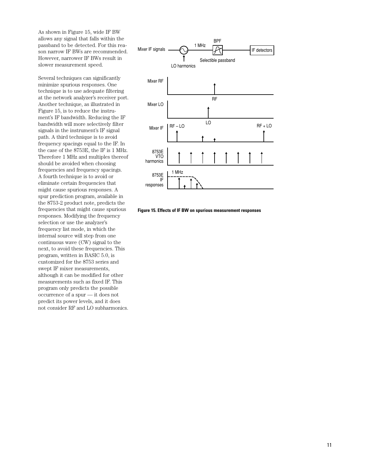As shown in Figure 15, wide IF BW allows any signal that falls within the passband to be detected. For this reason narrow IF BWs are recommended. However, narrower IF BWs result in slower measurement speed.

Several techniques can significantly minimize spurious responses. One technique is to use adequate filtering at the network analyzer's receiver port. Another technique, as illustrated in Figure 15, is to reduce the instrument's IF bandwidth. Reducing the IF bandwidth will more selectively filter signals in the instrument's IF signal path. A third technique is to avoid frequency spacings equal to the IF. In the case of the 8753E, the IF is 1 MHz. Therefore 1 MHz and multiples thereof should be avoided when choosing frequencies and frequency spacings. A fourth technique is to avoid or eliminate certain frequencies that might cause spurious responses. A spur prediction program, available in the 8753-2 product note, predicts the frequencies that might cause spurious responses. Modifying the frequency selection or use the analyzer's frequency list mode, in which the internal source will step from one continuous wave (CW) signal to the next, to avoid these frequencies. This program, written in BASIC 5.0, is customized for the 8753 series and swept IF mixer measurements, although it can be modified for other measurements such as fixed IF. This program only predicts the possible occurrence of a spur — it does not predict its power levels, and it does not consider RF and LO subharmonics.



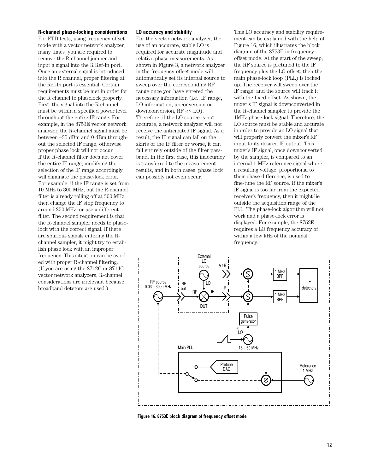#### **R-channel phase-locking considerations**

For FTD tests, using frequency offset mode with a vector network analyzer, many times you are required to remove the R-channel jumper and input a signal into the R Ref-In port. Once an external signal is introduced into the R channel, proper filtering at the Ref-In port is essential. Certain requirements must be met in order for the R channel to phaselock properly. First, the signal into the R channel must be within a specified power level throughout the entire IF range. For example, in the 8753E vector network analyzer, the R-channel signal must be between –35 dBm and 0 dBm throughout the selected IF range, otherwise proper phase lock will not occur. If the R-channel filter does not cover the entire IF range, modifying the selection of the IF range accordingly will eliminate the phase-lock error. For example, if the IF range is set from 10 MHz to 300 MHz, but the R-channel filter is already rolling off at 300 MHz, then change the IF stop frequency to around 250 MHz, or use a different filter. The second requirement is that the R-channel sampler needs to phaselock with the correct signal. If there are spurious signals entering the Rchannel sampler, it might try to establish phase lock with an improper frequency. This situation can be avoided with proper R-channel filtering. (If you are using the 8712C or 8714C vector network analyzers, R-channel considerations are irrelevant because broadband detetors are used.)

#### **LO accuracy and stability**

For the vector network analyzer, the use of an accurate, stable LO is required for accurate magnitude and relative phase measurements. As shown in Figure 3, a network analyzer in the frequency offset mode will automatically set its internal source to sweep over the corresponding RF range once you have entered the necessary information (i.e., IF range, LO information, upconversion or downconversion, RF <> LO). Therefore, if the LO source is not accurate, a network analyzer will not receive the anticipated IF signal. As a result, the IF signal can fall on the skirts of the IF filter or worse, it can fall entirely outside of the filter passband. In the first case, this inaccuracy is transferred to the measurement results, and in both cases, phase lock can possibly not even occur.

This LO accuracy and stability requirement can be explained with the help of Figure 16, which illustrates the block diagram of the 8753E in frequency offset mode. At the start of the sweep, the RF source is pretuned to the IF frequency plus the LO offset, then the main phase-lock loop (PLL) is locked up. The receiver will sweep over the IF range, and the source will track it with the fixed offset. As shown, the mixer's IF signal is downconverted in the R-channel sampler to provide the 1MHz phase-lock signal. Therefore, the LO source must be stable and accurate in order to provide an LO signal that will properly convert the mixer's RF input to its desired IF output. This mixer's IF signal, once downconverted by the sampler, is compared to an internal 1-MHz reference signal where a resulting voltage, proportional to their phase difference, is used to fine-tune the RF source. If the mixer's IF signal is too far from the expected receiver's frequency, then it might lie outside the acquisition range of the PLL. The phase-lock algorithm will not work and a phase-lock error is displayed. For example, the 8753E requires a LO frequency accuracy of within a few kHz of the nominal frequency.



**Figure 16. 8753E block diagram of frequency offset mode**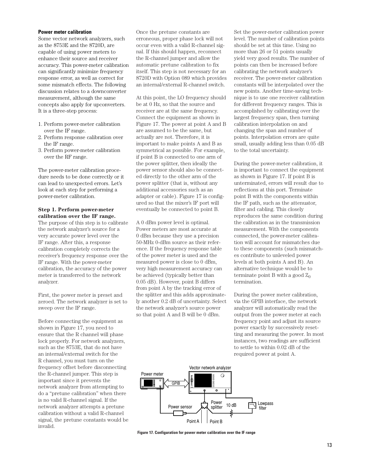#### **Power meter calibration**

Some vector network analyzers, such as the 8753E and the 8720D, are capable of using power meters to enhance their source and receiver accuracy. This power-meter calibration can significantly minimize frequency response error, as well as correct for some mismatch effects. The following discussion relates to a downconverter measurement, although the same concepts also apply for upconverters. It is a three-step process:

- 1. Perform power-meter calibration over the IF range.
- 2. Perform response calibration over the IF range.
- 3. Perform power-meter calibration over the RF range.

The power-meter calibration procedure needs to be done correctly or it can lead to unexpected errors. Let's look at each step for performing a power-meter calibration.

#### **Step 1. Perform power-meter calibration over the IF range.**

The purpose of this step is to calibrate the network analyzer's source for a very accurate power level over the IF range. After this, a response calibration completely corrects the receiver's frequency response over the IF range. With the power-meter calibration, the accuracy of the power meter is transferred to the network analyzer.

First, the power meter is preset and zeroed. The network analyzer is set to sweep over the IF range.

Before connecting the equipment as shown in Figure 17, you need to ensure that the R channel will phase lock properly. For network analyzers, such as the 8753E, that do not have an internal/external switch for the R channel, you must turn on the frequency offset before disconnecting the R-channel jumper. This step is important since it prevents the network analyzer from attempting to do a "pretune calibration" when there is no valid R-channel signal. If the network analyzer attempts a pretune calibration without a valid R-channel signal, the pretune constants would be invalid.

Once the pretune constants are erroneous, proper phase lock will not occur even with a valid R-channel signal. If this should happen, reconnect the R-channel jumper and allow the automatic pretune calibration to fix itself. This step is not necessary for an 8720D with Option 089 which provides an internal/external R-channel switch.

At this point, the LO frequency should be at 0 Hz, so that the source and receiver are at the same frequency. Connect the equipment as shown in Figure 17. The power at point A and B are assumed to be the same, but actually are not. Therefore, it is important to make points A and B as symmetrical as possible. For example, if point B is connected to one arm of the power splitter, then ideally the power sensor should also be connected directly to the other arm of the power splitter (that is, without any additional accessories such as an adapter or cable). Figure 17 is configured so that the mixer's IF port will eventually be connected to point B.

A 0 dBm power level is optimal. Power meters are most accurate at 0 dBm because they use a precision 50-MHz 0-dBm source as their reference. If the frequency response table of the power meter is used and the measured power is close to 0 dBm, very high measurement accuracy can be achieved (typically better than 0.05 dB). However, point B differs from point A by the tracking error of the splitter and this adds approximately another 0.2 dB of uncertainty. Select the network analyzer's source power so that point A and B will be 0 dBm.

Set the power-meter calibration power level. The number of calibration points should be set at this time. Using no more than 26 or 51 points usually yield very good results. The number of points can then be increased before calibrating the network analyzer's receiver. The power-meter calibration constants will be interpolated over the new points. Another time-saving technique is to use one receiver calibration for different frequency ranges. This is accomplished by calibrating over the largest frequency span, then turning calibration interpolation on and changing the span and number of points. Interpolation errors are quite small, usually adding less than 0.05 dB to the total uncertainty.

During the power-meter calibration, it is important to connect the equipment as shown in Figure 17. If point B is unterminated, errors will result due to reflections at this port. Terminate point B with the components within the IF path, such as the attenuator, filter and cabling. This closely reproduces the same condition during the calibration as in the transmission measurement. With the components connected, the power-meter calibration will account for mismatches due to these components (such mismatches contribute to unleveled power levels at both points A and B). An alternative technique would be to terminate point B with a good  $Z_0$ termination.

During the power meter calibration, via the GPIB interface, the network analyzer will automatically read the output from the power meter at each frequency point and adjust its source power exactly by successively resetting and measuring the power. In most instances, two readings are sufficient to settle to within 0.02 dB of the required power at point A.



**Figure 17. Configuration for power meter calibration over the IF range**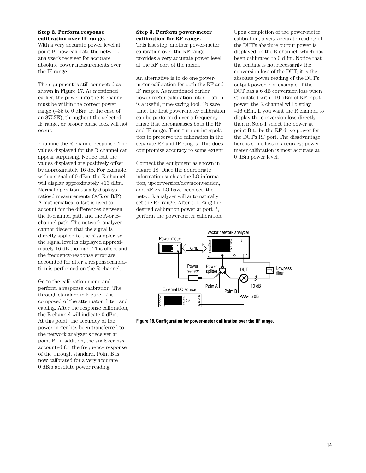#### **Step 2. Perform response calibration over IF range.**

With a very accurate power level at point B, now calibrate the network analyzer's receiver for accurate absolute power measurements over the IF range.

The equipment is still connected as shown in Figure 17. As mentioned earlier, the power into the R channel must be within the correct power range (–35 to 0 dBm, in the case of an 8753E), throughout the selected IF range, or proper phase lock will not occur.

Examine the R-channel response. The values displayed for the R channel can appear surprising. Notice that the values displayed are positively offset by approximately 16 dB. For example, with a signal of 0 dBm, the R channel will display approximately +16 dBm. Normal operation usually displays ratioed measurements (A/R or B/R). A mathematical offset is used to account for the differences between the R-channel path and the A-or Bchannel path. The network analyzer cannot discern that the signal is directly applied to the R sampler, so the signal level is displayed approximately 16 dB too high. This offset and the frequency-response error are accounted for after a responsecalibration is performed on the R channel.

Go to the calibration menu and perform a response calibration. The through standard in Figure 17 is composed of the attenuator, filter, and cabling. After the response calibration, the R channel will indicate 0 dBm. At this point, the accuracy of the power meter has been transferred to the network analyzer's receiver at point B. In addition, the analyzer has accounted for the frequency response of the through standard. Point B is now calibrated for a very accurate 0 dBm absolute power reading.

#### **Step 3. Perform power-meter calibration for RF range.**

This last step, another power-meter calibration over the RF range, provides a very accurate power level at the RF port of the mixer.

An alternative is to do one powermeter calibration for both the RF and IF ranges. As mentioned earlier, power-meter calibration interpolation is a useful, time-saving tool. To save time, the first power-meter calibration can be performed over a frequency range that encompasses both the RF and IF range. Then turn on interpolation to preserve the calibration in the separate RF and IF ranges. This does compromise accuracy to some extent.

Connect the equipment as shown in Figure 18. Once the appropriate information such as the LO information, upconversion/downconversion, and RF <> LO have been set, the network analyzer will automatically set the RF range. After selecting the desired calibration power at port B, perform the power-meter calibration.

Upon completion of the power-meter calibration, a very accurate reading of the DUT's absolute output power is displayed on the R channel, which has been calibrated to 0 dBm. Notice that the reading is not necessarily the conversion loss of the DUT; it is the absolute power reading of the DUT's output power. For example, if the DUT has a 6 dB conversion loss when stimulated with –10 dBm of RF input power, the R channel will display –16 dBm. If you want the R channel to display the conversion loss directly, then in Step 1 select the power at point B to be the RF drive power for the DUT's RF port. The disadvantage here is some loss in accuracy; power meter calibration is most accurate at 0 dBm power level.



**Figure 18. Configuration for power-meter calibration over the RF range.**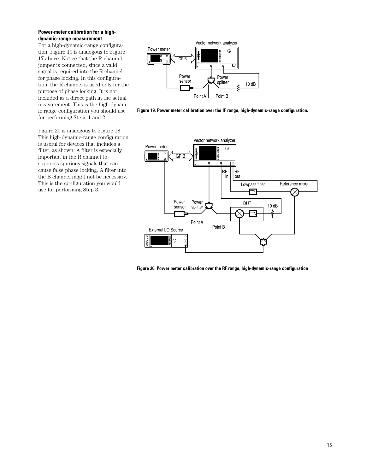#### **Power-meter calibration for a highdynamic-range measurement**

For a high-dynamic-range configuration, Figure 19 is analogous to Figure 17 above. Notice that the R-channel jumper is connected, since a valid signal is required into the R channel for phase locking. In this configuration, the R channel is used only for the purpose of phase locking. It is not included as a direct path in the actual measurement. This is the high-dynamic range configuration you should use for performing Steps 1 and 2.

Figure 20 is analogous to Figure 18. This high-dynamic-range configuration is useful for devices that includes a filter, as shown. A filter is especially important in the R channel to suppress spurious signals that can cause false phase locking. A filter into the B channel might not be necessary. This is the configuration you would use for performing Step 3.



**Figure 19. Power meter calibration over the IF range, high-dynamic-range configuration.**



**Figure 20. Power meter calibration over the RF range, high-dynamic-range configuration**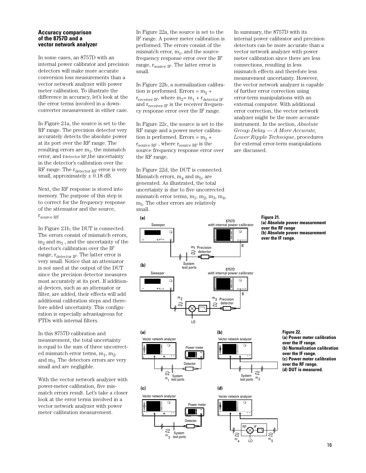#### **Accuracy comparison of the 8757D and a vector network analyzer**

In some cases, an 8757D with an internal power calibrator and precision detectors will make more accurate conversion loss measurements than a vector network analyzer with power meter calibration. To illustrate the difference in accuracy, let's look at the the error terms involved in a downconverter measurement in either case.

In Figure 21a, the source is set to the RF range. The precision detector very accurately detects the absolute power at its port over the RF range. The resulting errors are  $m_1$ , the mismatch error, and rdetector RF,the uncertainty in the detector's calibration over the RF range. The  $r_{\text{detector RF}}$  error is very small, approximately  $\pm$  0.18 dB.

Next, the RF response is stored into memory. The purpose of this step is to correct for the frequency response of the attenuator and the source, rsource RF.

In Figure 21b, the DUT is connected. The errors consist of mismatch errors,  $m<sub>2</sub>$  and  $m<sub>3</sub>$ , and the uncertainty of the detector's calibration over the IF range,  $r_{\text{detector IF}}$ . The latter error is very small. Notice that an attenuator is not used at the output of the DUT since the precision detector measures most accurately at its port. If additional devices, such as an attenuator or filter, are added, their effects will add additional calibration steps and therefore added uncertainty. This configuration is especially advantageous for FTDs with internal filters.

In this 8757D calibration and measurement, the total uncertainty is equal to the sum of three uncorrected mismatch error terms,  $m_1$ ,  $m_2$ , and m3. The detectors errors are very small and are negligible.

With the vector network analyzer with power-meter calibration, five mismatch errors result. Let's take a closer look at the error terms involved in a vector network analyzer with power meter calibration measurement.

In Figure 22a, the source is set to the IF range. A power meter calibration is performed. The errors consist of the mismatch error,  $m_1$ , and the source frequency response error over the IF range,  $r_{\text{source IF}}$ . The latter error is small.

In Figure 22b, a normalization calibration is performed. Errors =  $m_2$  +  $r_{\text{receiver IF}}$ , where  $m_2 = m_1 + r_{\text{detector IF}}$ and  $r_{\text{receiver IF}}$  is the receiver frequency response error over the IF range.

In Figure 22c, the source is set to the RF range and a power meter calibration is performed. Errors =  $m_3$  +  $\rm\,r_{source\;RF}$  , where  $\rm\,r_{source\;RF}$  is the source frequency response error over the RF range.

In Figure 22d, the DUT is connected. Mismatch errors,  $m_4$  and  $m_5$ , are generated. As illustrated, the total uncertainty is due to five uncorrected mismatch error terms,  $m_1$ ,  $m_2$ ,  $m_3$ ,  $m_4$ , m5. The other errors are relatively small.

In summary, the 8757D with its internal power calibrator and precision detectors can be more accurate than a vector network analyzer with power meter calibration since there are less connections, resulting in less mismatch effects and therefore less measurement uncertainty. However, the vector network analyzer is capable of further error correction using error-term manipulations with an external computer. With additional error correction, the vector network analyzer might be the more accurate instrument. In the section, *Absolute Group Delay — A More Accurate, Lower Ripple Technique*, procedures for external error-term manipulations are discussed.



Power meter

Detector

Power meter

Detecto

Vector network analyzer

(a)

(c)

 $m<sub>4</sub>$ 

 $\tilde{=}$ 

System test ports

 $\overline{m_3}$ 

System test ports

**Figure 21.** 

**(a) Absolute power measurement over the RF range (b) Absolute power measurement over the IF range.**





LO

**Figure 22. (a) Power meter calibration over the IF range. (b) Normalization calibration over the IF range. (c) Power meter calibration over the RF range. (d) DUT is measured.**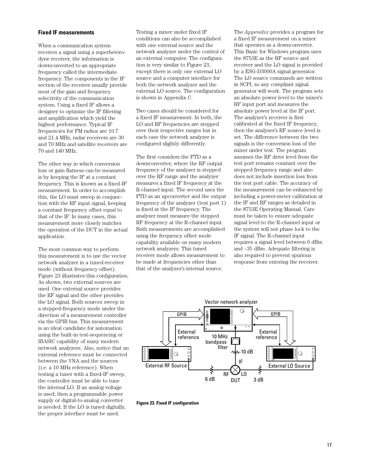#### **Fixed IF measurements**

When a communication system receives a signal using a superheterodyne receiver, the information is downconverted to an appropriate frequency called the intermediate frequency. The components in the IF section of the receiver usually provide most of the gain and frequency selectivity of the communication system. Using a fixed IF allows a designer to optimize the IF filtering and amplification which yield the highest performance. Typical IF frequencies for FM radios are 10.7 and 21.4 MHz, radar receivers are 30 and 70 MHz and satellite receivers are 70 and 140 MHz.

The other way in which conversion loss or gain flatness can be measured is by keeping the IF at a constant frequency. This is known as a fixed-IF measurement. In order to accomplish this, the LO must sweep in conjunction with the RF input signal, keeping a constant frequency offset equal to that of the IF. In many cases, this measurement more closely matches the operation of the DUT in the actual application.

The most common way to perform this measurement is to use the vector network analyzer in a tuned-receiver mode (without frequency offset). Figure 23 illustrates this configuration. As shown, two external sources are used. One external source provides the RF signal and the other provides the LO signal. Both sources sweep in a stepped-frequency mode under the direction of a measurement controller via the GPIB bus. This measurement is an ideal candidate for automation using the built-in test-sequencing or IBASIC capability of many modern network analyzers. Also, notice that an external reference must be connected between the VNA and the sources (i.e. a 10 MHz reference). When testing a tuner with a fixed-IF sweep, the controller must be able to tune the internal LO. If an analog voltage is used, then a programmable power supply or digital-to-analog converter is needed. If the LO is tuned digitally, the proper interface must be used.

Testing a mixer under fixed IF conditions can also be accomplished with one external source and the network analyzer under the control of an external computer. The configuration is very similar to Figure 23, except there is only one external LO source and a computer interface for both the network analyzer and the external LO source. The configuration is shown in Appendix C.

Two cases should be considered for a fixed IF measurement. In both, the LO and RF frequencies are stepped over their respective ranges but in each case the network analyzer is configured slightly differently.

The first considers the FTD as a downconverter, where the RF output frequency of the analyzer is stepped over the RF range and the analyzer measures a fixed IF frequency at the R-channel input. The second uses the FTD as an upconverter and the output frequency of the analyzer (test port 1) is fixed at the IF frequency. The analyzer must measure the stepped RF frequency at the R-channel input. Both measurements are accomplished using the frequency offset mode capability available on many modern network analyzers. This tuned receiver mode allows measurement to be made at frequencies other than that of the analyzer's internal source.

The *Appendix* provides a program for a fixed IF measurement on a mixer that operates as a downconverter. This Basic for Windows program uses the 8753E as the RF source and receiver and the LO signal is provided by a ESG-D3000A signal generator. The LO source commands are written in SCPI, so any compliant signal generator will work. The program sets an absolute power level to the mixer's RF input port and measures the absolute power level at the IF port. The analyzer's receiver is first calibrated at the fixed IF frequency, then the analyzer's RF source level is set. The difference between the two signals is the conversion loss of the mixer under test. The program assumes the RF drive level from the test port remains constant over the stepped frequency range and also does not include insertion loss from the test port cable. The accuracy of the measurement can be enhanced by including a power-meter calibration at the IF and RF ranges as detailed in the 8753E Operating Manual. Care must be taken to ensure adequate signal level to the R-channel input or the system will not phase lock to the IF signal. The R-channel input requires a signal level between 0 dBm and –35 dBm. Adequate filtering is also required to prevent spurious response from entering the receiver.



**Figure 23. Fixed IF configuration**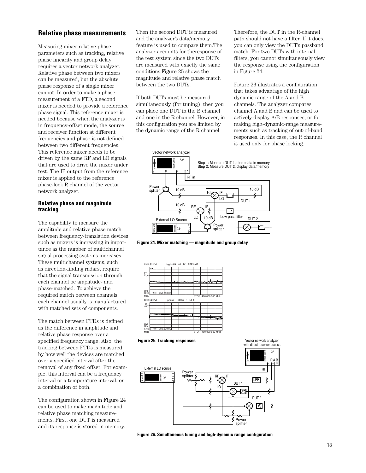## **Relative phase measurements**

Measuring mixer relative phase parameters such as tracking, relative phase linearity and group delay requires a vector network analyzer. Relative phase between two mixers can be measured, but the absolute phase response of a single mixer cannot. In order to make a phase measurement of a FTD, a second mixer is needed to provide a reference phase signal. This reference mixer is needed because when the analyzer is in frequency-offset mode, the source and receiver function at different frequencies and phase is not defined between two different frequencies. This reference mixer needs to be driven by the same RF and LO signals that are used to drive the mixer under test. The IF output from the reference mixer is applied to the reference phase-lock R channel of the vector network analyzer.

#### **Relative phase and magnitude tracking**

The capability to measure the amplitude and relative phase match between frequency-translation devices such as mixers is increasing in importance as the number of multichannel signal processing systems increases. These multichannel systems, such as direction-finding radars, require that the signal transmission through each channel be amplitude- and phase-matched. To achieve the required match between channels, each channel usually is manufactured with matched sets of components.

The match between FTDs is defined as the difference in amplitude and relative phase response over a specified frequency range. Also, the tracking between FTDs is measured by how well the devices are matched over a specified interval after the removal of any fixed offset. For example, this interval can be a frequency interval or a temperature interval, or a combination of both.

The configuration shown in Figure 24 can be used to make magnitude and relative phase matching measurements. First, one DUT is measured and its response is stored in memory.

Then the second DUT is measured and the analyzer's data/memory feature is used to compare them.The analyzer accounts for theresponse of the test system since the two DUTs are measured with exactly the same conditions.Figure 25 shows the magnitude and relative phase match between the two DUTs.

If both DUTs must be measured simultaneously (for tuning), then you can place one DUT in the B channel and one in the R channel. However, in this configuration you are limited by the dynamic range of the R channel.

Therefore, the DUT in the R-channel path should not have a filter. If it does, you can only view the DUT's passband match. For two DUTs with internal filters, you cannot simultaneously view the response using the configuration in Figure 24.

Figure 26 illustrates a configuration that takes advantage of the high dynamic range of the A and B channels. The analyzer compares channel A and B and can be used to actively display A/B responses, or for making high-dynamic-range measurements such as tracking of out-of-band responses. In this case, the R channel is used only for phase locking.

Vector network analyzer



**Figure 24. Mixer matching — magnitude and group delay**







**Figure 26. Simultaneous tuning and high-dynamic range configuration**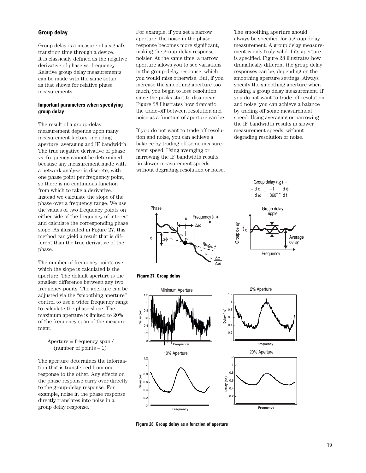#### **Group delay**

Group delay is a measure of a signal's transition time through a device. It is classically defined as the negative derivative of phase vs. frequency. Relative group delay measurements can be made with the same setup as that shown for relative phase measurements.

#### **Important parameters when specifying group delay**

The result of a group-delay measurement depends upon many measurement factors, including aperture, averaging and IF bandwidth. The true negative derivative of phase vs. frequency cannot be determined because any measurement made with a network analyzer is discrete, with one phase point per frequency point, so there is no continuous function from which to take a derivative. Instead we calculate the slope of the phase over a frequency range. We use the values of two frequency points on either side of the frequency of interest and calculate the corresponding phase slope. As illustrated in Figure 27, this method can yield a result that is different than the true derivative of the phase.

The number of frequency points over which the slope is calculated is the aperture. The default aperture is the smallest difference between any two frequency points. The aperture can be adjusted via the "smoothing aperture" control to use a wider frequency range to calculate the phase slope. The maximum aperture is limited to 20% of the frequency span of the measurement.

> Aperture = frequency span / (number of points – 1)

The aperture determines the information that is transferred from one response to the other. Any effects on the phase response carry over directly to the group-delay response. For example, noise in the phase response directly translates into noise in a group delay response.

For example, if you set a narrow aperture, the noise in the phase response becomes more significant, making the group-delay response noisier. At the same time, a narrow aperture allows you to see variations in the group-delay response, which you would miss otherwise. But, if you increase the smoothing aperture too much, you begin to lose resolution since the peaks start to disappear. Figure 28 illustrates how dramatic the trade-off between resolution and noise as a function of aperture can be.

If you do not want to trade off resolution and noise, you can achieve a balance by trading off some measurement speed. Using averaging or narrowing the IF bandwidth results in slower measurement speeds without degrading resolution or noise.

The smoothing aperture should always be specified for a group delay measurement. A group delay measurement is only truly valid if its aperture is specified. Figure 28 illustrates how dramatically different the group delay responses can be, depending on the smoothing aperture settings. Always specify the smoothing aperture when making a group delay measurement. If you do not want to trade off resolution and noise, you can achieve a balance by trading off some measurement speed. Using averaging or narrowing the IF bandwidth results in slower measurement speeds, without degrading resolution or noise.





Group delay  $(t g)$  =

d φ

Frequency





**Figure 28. Group delay as a function of aperture**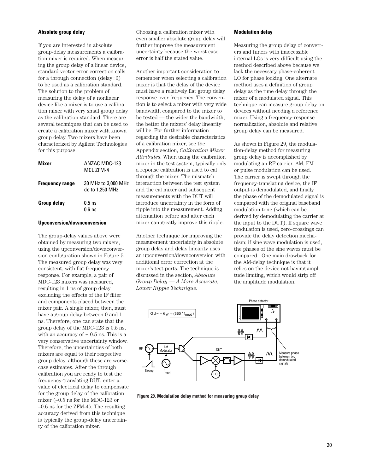#### **Absolute group delay**

If you are interested in absolute group-delay measurements a calibration mixer is required. When measuring the group delay of a linear device, standard vector error correction calls for a through connection (delay=0) to be used as a calibration standard. The solution to the problem of measuring the delay of a nonlinear device like a mixer is to use a calibration mixer with very small group delay as the calibration standard. There are several techniques that can be used to create a calibration mixer with known group delay. Two mixers have been characterized by Agilent Technologies for this purpose:

| Mixer                  | ANZAC MDC-123<br>MCI 7FM-4             |
|------------------------|----------------------------------------|
| <b>Frequency range</b> | 30 MHz to 3,000 MHz<br>dc to 1,250 MHz |
| <b>Group delay</b>     | $0.5$ ns<br>$0.6$ ns                   |

#### **Upconversion/downconversion**

The group-delay values above were obtained by measuring two mixers, using the upconversion/downconversion configuration shown in Figure 5. The measured group delay was very consistent, with flat frequency response. For example, a pair of MDC-123 mixers was measured, resulting in 1 ns of group delay excluding the effects of the IF filter and components placed between the mixer pair. A single mixer, then, must have a group delay between 0 and 1 ns. Therefore, one can state that the group delay of the MDC-123 is 0.5 ns, with an accuracy of  $\pm$  0.5 ns. This is a very conservative uncertainty window. Therefore, the uncertainties of both mixers are equal to their respective group delay, although these are worsecase estimates. After the through calibration you are ready to test the frequency-translating DUT, enter a value of electrical delay to compensate for the group delay of the calibration mixer (–0.5 ns for the MDC-123 or –0.6 ns for the ZFM-4). The resulting accuracy derived from this technique is typically the group-delay uncertainty of the calibration mixer.

Choosing a calibration mixer with even smaller absolute group delay will further improve the measurement uncertainty because the worst case error is half the stated value.

Another important consideration to remember when selecting a calibration mixer is that the delay of the device must have a relatively flat group delay response over frequency. The convention is to select a mixer with very wide bandwidth compared to the mixer to be tested — the wider the bandwidth, the better the mixers' delay linearity will be. For further information regarding the desirable characteristics of a calibration mixer, see the Appendix section, *Calibration Mixer Attributes*. When using the calibration mixer in the test system, typically only a reponse calibration is used to cal through the mixer. The mismatch interaction between the test system and the cal mixer and subsequent measurements with the DUT will introduce uncertainty in the form of ripple into the measurement. Adding attenuation before and after each mixer can greatly improve this ripple.

Another technique for improving the measurement uncertainty in absolute group delay and delay linearity uses an upconversion/downconversion with additional error correction at the mixer's test ports. The technique is discussed in the section, *Absolute Group Delay — A More Accurate, Lower Ripple Technique.*

#### **Modulation delay**

Measuring the group delay of converters and tuners with inaccessible internal LOs is very difficult using the method described above because we lack the necessary phase-coherent LO for phase locking. One alternate method uses a definition of group delay as the time delay through the mixer of a modulated signal. This technique can measure group delay on devices without needing a reference mixer. Using a frequency-response normalization, absolute and relative group delay can be measured.

As shown in Figure 29, the modulation-delay method for measuring group delay is accomplished by modulating an RF carrier. AM, FM or pulse modulation can be used. The carrier is swept through the frequency-translating device, the IF output is demodulated, and finally the phase of the demodulated signal is compared with the original baseband modulation tone (which can be derived by demodulating the carrier at the input to the DUT). If square wave modulation is used, zero-crossings can provide the delay detection mechanism; if sine wave modulation is used, the phases of the sine waves must be compared. One main drawback for the AM-delay technique is that it relies on the device not having amplitude limiting, which would strip off the amplitude modulation.



**Figure 29. Modulation delay method for measuring group delay**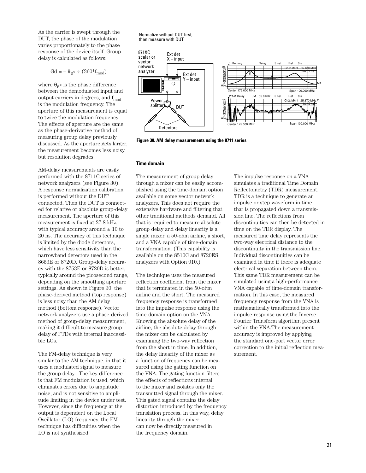As the carrier is swept through the DUT, the phase of the modulation varies proportionately to the phase response of the device itself. Group delay is calculated as follows:

$$
\text{Gd} = -\theta_{\text{e}^{\circ}} \div (360^* \text{f}_{\text{mod}})
$$

where  $\theta_{e}$ <sup>o</sup> is the phase difference between the demodulated input and output carriers in degrees, and  $f_{mod}$ is the modulation frequency. The aperture of this measurement is equal to twice the modulation frequency. The effects of aperture are the same as the phase-derivative method of measuring group delay previously discussed. As the aperture gets larger, the measurement becomes less noisy, but resolution degrades.

AM-delay measurements are easily performed with the 8711C series of network analyzers (see Figure 30). A response normalization calibration is performed without the DUT connected. Then the DUT is connected for relative or absolute group-delay measurement. The aperture of this measurement is fixed at 27.8 kHz, with typical accuracy around  $\pm$  10 to 20 ns. The accuracy of this technique is limited by the diode detectors, which have less sensitivity than the narrowband detectors used in the 8653E or 8720D. Group-delay accuracy with the 8753E or 8720D is better, typically around the picosecond range, depending on the smoothing aperture settings. As shown in Figure 30, the phase-derived method (top response) is less noisy than the AM delay method (bottom response). Vector network analyzers use a phase-derived method of group-delay measurement, making it difficult to measure group delay of FTDs with internal inaccessible LOs.

The FM-delay technique is very similar to the AM technique, in that it uses a modulated signal to measure the group delay. The key difference is that FM modulation is used, which eliminates errors due to amplitude noise, and is not sensitive to amplitude limiting in the device under test. However, since the frequency at the output is dependent on the Local Oscillator (LO) frequency, the FM technique has difficulties when the LO is not synthesized.

Normalize without DUT first, then measure with DUT



**Figure 30. AM delay measurements using the 8711 series**

#### **Time domain**

The measurement of group delay through a mixer can be easily accomplished using the time-domain option available on some vector network analyzers. This does not require the extensive hardware and filtering that other traditional methods demand. All that is required to measure absolute group delay and delay linearity is a single mixer, a 50-ohm airline, a short, and a VNA capable of time-domain transformation. (This capability is available on the 8510C and 8720ES analyzers with Option 010.)

The technique uses the measured reflection coefficient from the mixer that is terminated in the 50-ohm airline and the short. The measured frequency response is transformed into the impulse response using the time-domain option on the VNA. Knowing the absolute delay of the airline, the absolute delay through the mixer can be calculated by examining the two-way reflection from the short in time. In addition, the delay linearity of the mixer as a function of frequency can be measured using the gating function on the VNA. The gating function filters the effects of reflections internal to the mixer and isolates only the transmitted signal through the mixer. This gated signal contains the delay distortion introduced by the frequency translation process. In this way, delay linearity through the mixer can now be directly measured in the frequency domain.

The impulse response on a VNA simulates a traditional Time Domain Reflectometry (TDR) measurement. TDR is a technique to generate an impulse or step waveform in time that is propagated down a transmission line. The reflections from discontinuities can then be detected in time on the TDR display. The measured time delay represents the two-way electrical distance to the discontinuity in the transmission line. Individual discontinuities can be examined in time if there is adequate electrical separation between them. This same TDR measurement can be simulated using a high-performance VNA capable of time-domain transformation. In this case, the measured frequency response from the VNA is mathematically transformed into the impulse response using the Inverse Fourier Transform algorithm present within the VNA.The measurement accuracy is improved by applying the standard one-port vector error correction to the initial reflection measurement.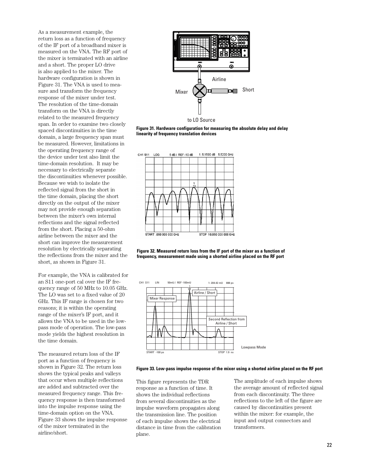As a measurement example, the return loss as a function of frequency of the IF port of a broadband mixer is measured on the VNA. The RF port of the mixer is terminated with an airline and a short. The proper LO drive is also applied to the mixer. The hardware configuration is shown in Figure 31. The VNA is used to measure and transform the frequency response of the mixer under test. The resolution of the time-domain transform on the VNA is directly related to the measured frequency span. In order to examine two closely spaced discontinuities in the time domain, a large frequency span must be measured. However, limitations in the operating frequency range of the device under test also limit the time-domain resolution. It may be necessary to electrically separate the discontinuities whenever possible. Because we wish to isolate the reflected signal from the short in the time domain, placing the short directly on the output of the mixer may not provide enough separation between the mixer's own internal reflections and the signal reflected from the short. Placing a 50-ohm airline between the mixer and the short can improve the measurement resolution by electrically separating the reflections from the mixer and the short, as shown in Figure 31.

For example, the VNA is calibrated for an S11 one-port cal over the IF frequency range of 50 MHz to 10.05 GHz. The LO was set to a fixed value of 20 GHz. This IF range is chosen for two reasons; it is within the operating range of the mixer's IF port, and it allows the VNA to be used in the lowpass mode of operation. The low-pass mode yields the highest resolution in the time domain.

The measured return loss of the IF port as a function of frequency is shown in Figure 32. The return loss shows the typical peaks and valleys that occur when multiple reflections are added and subtracted over the measured frequency range. This frequency response is then transformed into the impulse response using the time-domain option on the VNA. Figure 33 shows the impulse response of the mixer terminated in the airline/short.



**Figure 31. Hardware configuration for measuring the absolute delay and delay linearity of frequency translation devices**







**Figure 33. Low-pass impulse response of the mixer using a shorted airline placed on the RF port**

This figure represents the TDR response as a function of time. It shows the individual reflections from several discontinuities as the impulse waveform propagates along the transmission line. The position of each impulse shows the electrical distance in time from the calibration plane.

The amplitude of each impulse shows the average amount of reflected signal from each discontinuity. The three reflections to the left of the figure are caused by discontinuities present within the mixer: for example, the input and output connectors and transformers.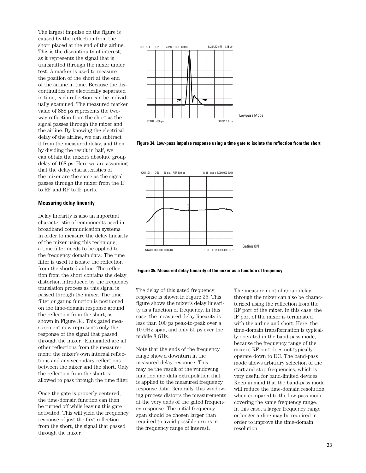The largest impulse on the figure is caused by the reflection from the short placed at the end of the airline. This is the discontinuity of interest, as it represents the signal that is transmitted through the mixer under test. A marker is used to measure the position of the short at the end of the airline in time. Because the discontinuities are electrically separated in time, each reflection can be individually examined. The measured marker value of 888 ps represents the twoway reflection from the short as the signal passes through the mixer and the airline. By knowing the electrical delay of the airline, we can subtract it from the measured delay, and then by dividing the result in half, we can obtain the mixer's absolute group delay of 168 ps. Here we are assuming that the delay characteristics of the mixer are the same as the signal passes through the mixer from the IF to RF and RF to IF ports.

#### **Measuring delay linearity**

Delay linearity is also an important characteristic of components used in broadband communication systems. In order to measure the delay linearity of the mixer using this technique, a time filter needs to be applied to the frequency domain data. The time filter is used to isolate the reflection from the shorted airline. The reflection from the short contains the delay distortion introduced by the frequency translation process as this signal is passed through the mixer. The time filter or gating function is positioned on the time-domain response around the reflection from the short, as shown in Figure 34. This gated measurement now represents only the response of the signal that passed through the mixer. Eliminated are all other reflections from the measurement: the mixer's own internal reflections and any secondary reflections between the mixer and the short. Only the reflection from the short is allowed to pass through the time filter.

Once the gate is properly centered, the time-domain function can then be turned off while leaving this gate activated. This will yield the frequency response of just the first reflection from the short, the signal that passed through the mixer.



**Figure 34. Low-pass impulse response using a time gate to isolate the reflection from the short** 





The delay of this gated frequency response is shown in Figure 35. This figure shows the mixer's delay linearity as a function of frequency. In this case, the measured delay linearity is less than 100 ps peak-to-peak over a 10 GHz span, and only 50 ps over the middle 8 GHz.

Note that the ends of the frequency range show a downturn in the measured delay response. This may be the result of the windowing function and data extrapolation that is applied to the measured frequency response data. Generally, this windowing process distorts the measurements at the very ends of the gated frequency response. The initial frequency span should be chosen larger than required to avoid possible errors in the frequency range of interest.

The measurement of group delay through the mixer can also be characterized using the reflection from the RF port of the mixer. In this case, the IF port of the mixer is terminated with the airline and short. Here, the time-domain transformation is typically operated in the band-pass mode, because the frequency range of the mixer's RF port does not typically operate down to DC. The band-pass mode allows arbitrary selection of the start and stop frequencies, which is very useful for band-limited devices. Keep in mind that the band-pass mode will reduce the time-domain resolution when compared to the low-pass mode covering the same frequency range. In this case, a larger frequency range or longer airline may be required in order to improve the time-domain resolution.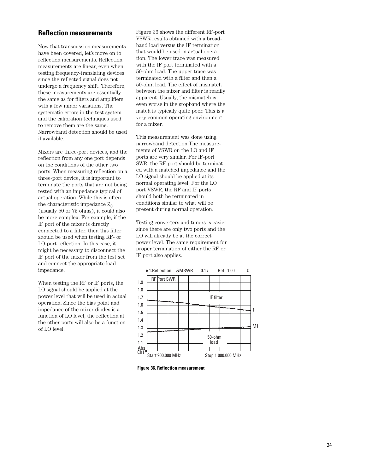## **Reflection measurements**

Now that transmission measurements have been covered, let's move on to reflection measurements. Reflection measurements are linear, even when testing frequency-translating devices since the reflected signal does not undergo a frequency shift. Therefore, these measurements are essentially the same as for filters and amplifiers, with a few minor variations. The systematic errors in the test system and the calibration techniques used to remove them are the same. Narrowband detection should be used if available.

Mixers are three-port devices, and the reflection from any one port depends on the conditions of the other two ports. When measuring reflection on a three-port device, it is important to terminate the ports that are not being tested with an impedance typical of actual operation. While this is often the characteristic impedance  $Z_0$ (usually 50 or 75 ohms), it could also be more complex. For example, if the IF port of the mixer is directly connected to a filter, then this filter should be used when testing RF- or LO-port reflection. In this case, it might be necessary to disconnect the IF port of the mixer from the test set and connect the appropriate load impedance.

When testing the RF or IF ports, the LO signal should be applied at the power level that will be used in actual operation. Since the bias point and impedance of the mixer diodes is a function of LO level, the reflection at the other ports will also be a function of LO level.

Figure 36 shows the different RF-port VSWR results obtained with a broadband load versus the IF termination that would be used in actual operation. The lower trace was measured with the IF port terminated with a 50-ohm load. The upper trace was terminated with a filter and then a 50-ohm load. The effect of mismatch between the mixer and filter is readily apparent. Usually, the mismatch is even worse in the stopband where the match is typically quite poor. This is a very common operating environment for a mixer.

This measurement was done using narrowband detection.The measurements of VSWR on the LO and IF ports are very similar. For IF-port SWR, the RF port should be terminated with a matched impedance and the LO signal should be applied at its normal operating level. For the LO port VSWR, the RF and IF ports should both be terminated in conditions similar to what will be present during normal operation.

Testing converters and tuners is easier since there are only two ports and the LO will already be at the correct power level. The same requirement for proper termination of either the RF or IF port also applies.



**Figure 36. Reflection measurement**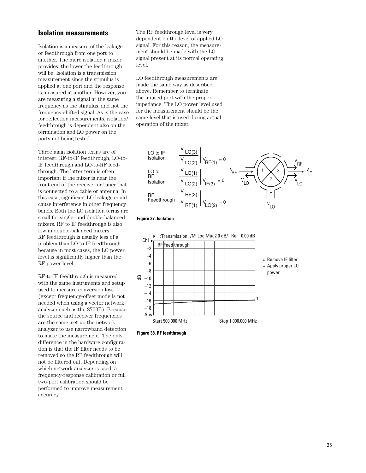## **Isolation measurements**

Isolation is a measure of the leakage or feedthrough from one port to another. The more isolation a mixer provides, the lower the feedthrough will be. Isolation is a transmission measurement since the stimulus is applied at one port and the response is measured at another. However, you are measuring a signal at the same frequency as the stimulus, and not the frequency-shifted signal. As is the case for reflection measurements, isolation/ feedthrough is dependent also on the termination and LO power on the ports not being tested.

Three main isolation terms are of interest: RF-to-IF feedthrough, LO-to-IF feedthrough and LO-to-RF feedthrough. The latter term is often important if the mixer is near the front end of the receiver or tuner that is connected to a cable or antenna. In this case, significant LO leakage could cause interference in other frequency bands. Both the LO isolation terms are small for single- and double-balanced mixers. RF to IF feedthrough is also low in double-balanced mixers. RF feedthrough is usually less of a problem than LO to IF feedthrough because in most cases, the LO power level is significantly higher than the RF power level.

RF-to-IF feedthrough is measured with the same instruments and setup used to measure conversion loss (except frequency-offset mode is not needed when using a vector network analyzer such as the 8753E). Because the source and receiver frequencies are the same, set up the network analyzer to use narrowband detection to make the measurement. The only difference in the hardware configuration is that the IF filter needs to be removed so the RF feedthrough will not be filtered out. Depending on which network analyzer is used, a frequency-response calibration or full two-port calibration should be performed to improve measurement accuracy.

The RF feedthrough level is very dependent on the level of applied LO signal. For this reason, the measurement should be made with the LO signal present at its normal operating level.

LO feedthrough measurements are made the same way as described above. Remember to terminate the unused port with the proper impedance. The LO power level used for the measurement should be the same level that is used during actual operation of the mixer.



#### **Figure 37. Isolation**



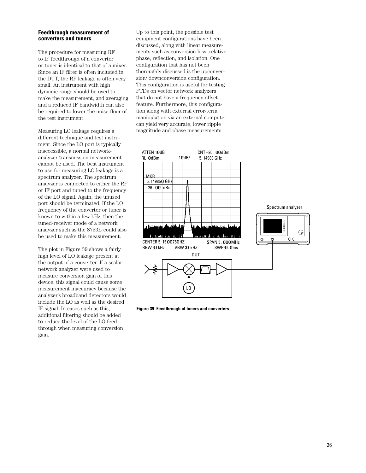#### **Feedthrough measurement of converters and tuners**

The procedure for measuring RF to IF feedthrough of a converter or tuner is identical to that of a mixer. Since an IF filter is often included in the DUT, the RF leakage is often very small. An instrument with high dynamic range should be used to make the measurement, and averaging and a reduced IF bandwidth can also be required to lower the noise floor of the test instrument.

Measuring LO leakage requires a different technique and test instrument. Since the LO port is typically inaccessible, a normal networkanalyzer transmission measurement cannot be used. The best instrument to use for measuring LO leakage is a spectrum analyzer. The spectrum analyzer is connected to either the RF or IF port and tuned to the frequency of the LO signal. Again, the unused port should be terminated. If the LO frequency of the converter or tuner is known to within a few kHz, then the tuned-receiver mode of a network analyzer such as the 8753E could also be used to make this measurement.

The plot in Figure 39 shows a fairly high level of LO leakage present at the output of a converter. If a scalar network analyzer were used to measure conversion gain of this device, this signal could cause some measurement inaccuracy because the analyzer's broadband detectors would include the LO as well as the desired IF signal. In cases such as this, additional filtering should be added to reduce the level of the LO feedthrough when measuring conversion gain.

Up to this point, the possible test equipment configurations have been discussed, along with linear measurements such as conversion loss, relative phase, reflection, and isolation. One configuration that has not been thoroughly discussed is the upconversion/ downconversion configuration. This configuration is useful for testing FTDs on vector network analyzers that do not have a frequency offset feature. Furthermore, this configuration along with external error-term manipulation via an external computer can yield very accurate, lower ripple magnitude and phase measurements.



**Figure 39. Feedthrough of tuners and converters**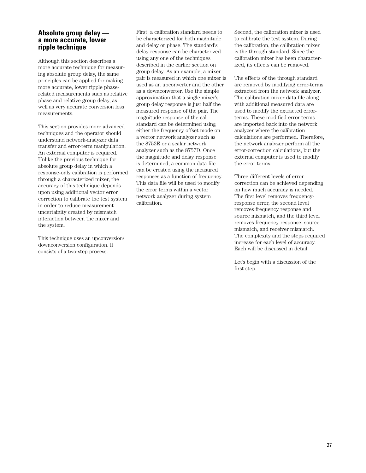## **Absolute group delay a more accurate, lower ripple technique**

Although this section describes a more accurate technique for measuring absolute group delay, the same principles can be applied for making more accurate, lower ripple phaserelated measurements such as relative phase and relative group delay, as well as very accurate conversion loss measurements.

This section provides more advanced techniques and the operator should understand network-analyzer data transfer and error-term manipulation. An external computer is required. Unlike the previous technique for absolute group delay in which a response-only calibration is performed through a characterized mixer, the accuracy of this technique depends upon using additional vector error correction to calibrate the test system in order to reduce measurement uncertainity created by mismatch interaction between the mixer and the system.

This technique uses an upconversion/ downconversion configuration. It consists of a two-step process.

First, a calibration standard needs to be characterized for both magnitude and delay or phase. The standard's delay response can be characterized using any one of the techniques described in the earlier section on group delay. As an example, a mixer pair is measured in which one mixer is used as an upconverter and the other as a downconverter. Use the simple approximation that a single mixer's group delay response is just half the measured response of the pair. The magnitude response of the cal standard can be determined using either the frequency offset mode on a vector network analyzer such as the 8753E or a scalar network analyzer such as the 8757D. Once the magnitude and delay response is determined, a common data file can be created using the measured responses as a function of frequency. This data file will be used to modify the error terms within a vector network analyzer during system calibration.

Second, the calibration mixer is used to calibrate the test system. During the calibration, the calibration mixer is the through standard. Since the calibration mixer has been characterized, its effects can be removed.

The effects of the through standard are removed by modifying error-terms extracted from the network analyzer. The calibration mixer data file along with additional measured data are used to modify the extracted errorterms. These modified error terms are imported back into the network analyzer where the calibration calculations are performed. Therefore, the network analyzer perform all the error-correction calculations, but the external computer is used to modify the error terms.

Three different levels of error correction can be achieved depending on how much accuracy is needed. The first level removes frequencyresponse error, the second level removes frequency response and source mismatch, and the third level removes frequency response, source mismatch, and receiver mismatch. The complexity and the steps required increase for each level of accuracy. Each will be discussed in detail.

Let's begin with a discussion of the first step.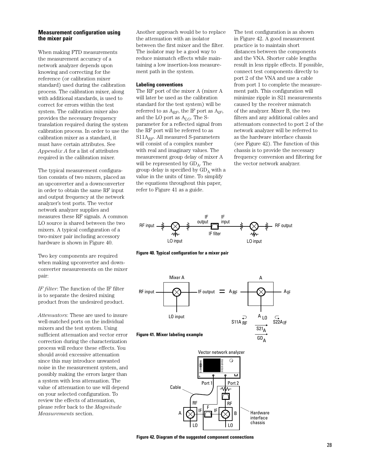#### **Measurement configuration using the mixer pair**

When making FTD measurements the measurement accuracy of a network analyzer depends upon knowing and correcting for the reference (or calibration mixer standard) used during the calibration process. The calibration mixer, along with additional standards, is used to correct for errors within the test system. The calibration mixer also provides the necessary frequency translation required during the system calibration process. In order to use the calibration mixer as a standard, it must have certain attributes. See *Appendix A* for a list of attributes required in the calibration mixer.

The typical measurement configuration consists of two mixers, placed as an upconverter and a downconverter in order to obtain the same RF input and output frequency at the network analyzer's test ports. The vector network analyzer supplies and measures these RF signals. A common LO source is shared between the two mixers. A typical configuration of a two-mixer pair including accessory hardware is shown in Figure 40.

Two key components are required when making upconverter and downconverter measurements on the mixer pair:

*IF filter*: The function of the IF filter is to separate the desired mixing product from the undesired product.

*Attenuators*: These are used to insure well-matched ports on the individual mixers and the test system. Using sufficient attenuation and vector error correction during the characterization process will reduce these effects. You should avoid excessive attenuation since this may introduce unwanted noise in the measurement system, and possibly making the errors larger than a system with less attenuation. The value of attenuation to use will depend on your selected configuration. To review the effects of attenuation, please refer back to the *Magnitude Measurements* section.

Another approach would be to replace the attenuation with an isolator between the first mixer and the filter. The isolator may be a good way to reduce mismatch effects while maintaining a low insertion-loss measurement path in the system.

#### **Labeling conventions**

The RF port of the mixer A (mixer A will later be used as the calibration standard for the test system) will be referred to as A*RF*, the IF port as A*IF*, and the LO port as A*LO*. The Sparameter for a reflected signal from the RF port will be referred to as S11A*RF*. All measured S-parameters will consist of a complex number with real and imaginary values. The measurement group delay of mixer A will be represented by  $GD_A$ . The group delay is specified by  $GD<sub>A</sub>$  with a value in the units of time. To simplify the equations throughout this paper, refer to Figure 41 as a guide.

The test configuration is as shown in Figure 42. A good measurement practice is to maintain short distances between the components and the VNA. Shorter cable lengths result in less ripple effects. If possible, connect test components directly to port 2 of the VNA and use a cable from port 1 to complete the measurement path. This configuration will minimize ripple in S21 measurements caused by the receiver mismatch of the analyzer. Mixer B, the two filters and any additional cables and attenuators connected to port 2 of the network analyzer will be referred to as the hardware interface chassis (see Figure 42). The function of this chassis is to provide the necessary frequency conversion and filtering for the vector network analyzer.



**Figure 40. Typical configuration for a mixer pair**



#### **Figure 41. Mixer labeling example**



**Figure 42. Diagram of the suggested component connections**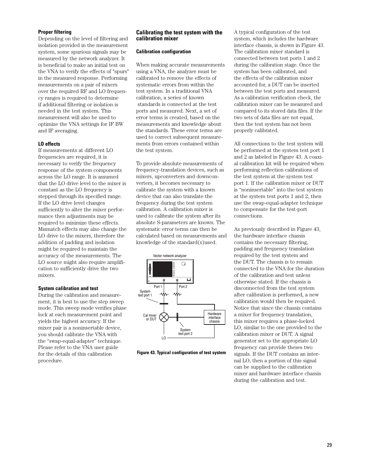#### **Proper filtering**

Depending on the level of filtering and isolation provided in the measurement system, some spurious signals may be measured by the network analyzer. It is beneficial to make an initial test on the VNA to verify the effects of "spurs" in the measured response. Performing measurements on a pair of mixers over the required RF and LO frequency ranges is required to determine if additional filtering or isolation is needed in the test system. This measurement will also be used to optimize the VNA settings for IF BW and IF averaging.

#### **LO effects**

If measurements at different LO frequencies are required, it is necessary to verify the frequency response of the system components across the LO range. It is assumed that the LO drive level to the mixer is constant as the LO frequency is stepped through its specified range. If the LO drive level changes sufficiently to alter the mixer performance then adjustments may be required to minimize these effects. Mismatch effects may also change the LO drive to the mixers, therefore the addition of padding and isolation might be required to maintain the accuracy of the measurements. The LO source might also require amplification to sufficiently drive the two mixers.

#### **System calibration and test**

During the calibration and measurement, it is best to use the step sweep mode. This sweep mode verifies phase lock at each measurement point and yields the highest accuracy. If the mixer pair is a noninsertable device, you should calibrate the VNA with the "swap-equal-adapter" technique. Please refer to the VNA user guide for the details of this calibration procedure.

#### **Calibrating the test system with the calibration mixer**

#### **Calibration configuration**

When making accurate measurements using a VNA, the analyzer must be calibrated to remove the effects of systematic errors from within the test system. In a traditional VNA calibration, a series of known standards is connected at the test ports and measured. Next, a set of error terms is created, based on the measurements and knowledge about the standards. These error terms are used to correct subsequent measurements from errors contained within the test system.

To provide absolute measurements of frequency-translation devices, such as mixers, upconverters and downconverters, it becomes necessary to calibrate the system with a known device that can also translate the frequency during the test system calibration. A calibration mixer is used to calibrate the system after its absolute S-parameters are known. The systematic error terms can then be calculated based on measurements and knowledge of the standard(s)used.



**Figure 43. Typical configuration of test system** 

A typical configuration of the test system, which includes the hardware interface chassis, is shown in Figure 43. The calibration mixer standard is connected between test ports 1 and 2 during the calibration stage. Once the system has been calibrated, and the effects of the calibration mixer accounted for, a DUT can be inserted between the test ports and measured. As a calibration verification check, the calibration mixer can be measured and compared to its stored data files. If the two sets of data files are not equal, then the test system has not been properly calibrated.

All connections to the test system will be performed at the system test port 1 and 2 as labeled in Figure 43. A coaxial calibration kit will be required when performing reflection calibrations of the test system at the system test port 1. If the calibration mixer or DUT is "noninsertable" into the test system at the system test ports 1 and 2, then use the swap-equal-adapter technique to compensate for the test-port connections.

As previously described in Figure 43, the hardware interface chassis contains the necessary filtering, padding and frequency translation required by the test system and the DUT. The chassis is to remain connected to the VNA for the duration of the calibration and test unless otherwise stated. If the chassis is disconnected from the test system after calibration is performed, a new calibration would then be required. Notice that since the chassis contains a mixer for frequency translation, this mixer requires a phase-locked LO, similar to the one provided to the calibration mixer or DUT. A signal generator set to the appropriate LO frequency can provide theses two signals. If the DUT contains an internal LO, then a portion of this signal can be supplied to the calibration mixer and hardware interface chassis during the calibration and test.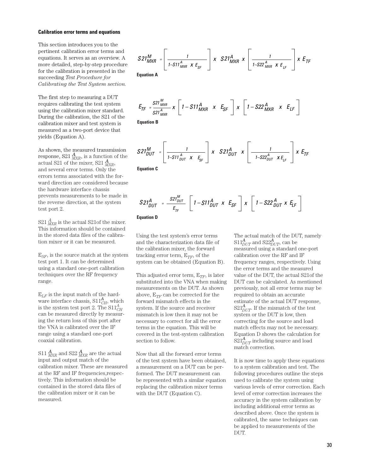#### **Calibration error terms and equations**

This section introduces you to the pertinent calibration error terms and equations. It serves as an overview. A more detailed, step-by-step procedure for the calibration is presented in the succeeding *Test Procedure for Calibrating the Test System section.*

The first step to measuring a DUT requires calibrating the test system using the calibration mixer standard. During the calibration, the S21 of the calibration mixer and test system is measured as a two-port device that yields (Equation A).

As shown, the measured transmission response, S21  $^{\boldsymbol{A}}_{MXR}$  is a function of the actual S21 of the mixer, S21 *A MXR*, and several error terms. Only the errors terms associated with the forward direction are considered because the hardware interface chassis prevents measurements to be made in the reverse direction, at the system test port 2.

 $S21\frac{A}{MXR}$  is the actual S21of the mixer. This information should be contained in the stored data files of the calibration mixer or it can be measured.

E*SF*, is the source match at the system test port 1. It can be determined using a standard one-port calibration techniques over the RF frequency range.

 $E_{LF}$  is the input match of the hardware interface chassis,  $S11^A_{CH}$ , which is the system test port 2. The  $\text{S11}_{CH}^{A}$ can be measured directly by measuring the return loss of this port after the VNA is calibrated over the IF range using a standard one-port coaxial calibration.

 $\mathop{\rm S11}\nolimits_{MXR}^{\mathbf{\mathbf{\mathit{A}}}}$  and  $\mathop{\rm S22}\nolimits_{MXR}^{\mathbf{\mathit{A}}}$  are the actual input and output match of the calibration mixer. These are measured at the RF and IF frequencies,respectively. This information should be contained in the stored data files of the calibration mixer or it can be measured.

$$
S21^{M}_{MXR} = \left[\frac{1}{1 - S11^{A}_{MXR} \times E_{SF}}\right] \times S21^{A}_{MXR} \times \left[\frac{1}{1 - S22^{A}_{MXR} \times E_{LF}}\right] \times E_{TF}
$$
  
Equation A

$$
E_{TF} = \frac{S21_{MXR}^M}{S21_{MXR}^A} \times \left[1 - S11_{MXR}^A \times E_{SF}\right] \times \left[1 - S22_{MXR}^A \times E_{LF}\right]
$$

**Equation B**

$$
S21_{DUT}^M = \left[ \frac{1}{1-S11_{DUT}^A \times E_{SF}} \right] \times S21_{DUT}^A \times \left[ \frac{1}{1-S22_{DUT}^A \times E_{LF}} \right] \times E_{TF}
$$

**Equation C**

$$
S21_{DUT}^{A} = \frac{S21_{DUT}^{M}}{E_{TF}} \left[ 1 - S11_{DUT}^{A} \times E_{SF} \right] \times \left[ 1 - S22_{DUT}^{A} \times E_{LF} \right]
$$

**Equation D**

Using the test system's error terms and the characterization data file of the calibration mixer, the forward tracking error term,  $E_{TF}$ , of the system can be obtained (Equation B).

This adjusted error term,  $E_{TF}$ , is later substituted into the VNA when making measurements on the DUT. As shown above,  $E_{TF}$  can be corrected for the forward mismatch effects in the system. If the source and receiver mismatch is low then it may not be necessary to correct for all the error terms in the equation. This will be covered in the test-system calibration section to follow.

Now that all the forward error terms of the test system have been obtained, a measurement on a DUT can be performed. The DUT measurement can be represented with a similar equation replacing the calibration mixer terms with the DUT (Equation C).

The actual match of the DUT, namely  $\mathrm{S11}_{DUT}^{\boldsymbol{A}}$  and  $\mathrm{S22}_{DUT}^{\boldsymbol{A}},$  can be measured using a standard one-port calibration over the RF and IF frequency ranges, respectively. Using the error terms and the measured value of the DUT, the actual S21of the DUT can be calculated. As mentioned previously, not all error terms may be required to obtain an accurate estimate of the actual DUT response,  $S21_{DUT}^{\mathbf{\mathbf{\mathbf{A}}}}$  If the mismatch of the test system or the DUT is low, then correcting for the source and load match effects may not be necessary. Equation D shows the calculation for  $\mathrm{S21}_{DUT}^{\pmb{A}}$  including source and load match correction.

It is now time to apply these equations to a system calibration and test. The following procedures outline the steps used to calibrate the system using various levels of error correction. Each level of error correction increases the accuracy in the system calibration by including additional error terms as described above. Once the system is calibrated, the same techniques can be applied to measurements of the DUT.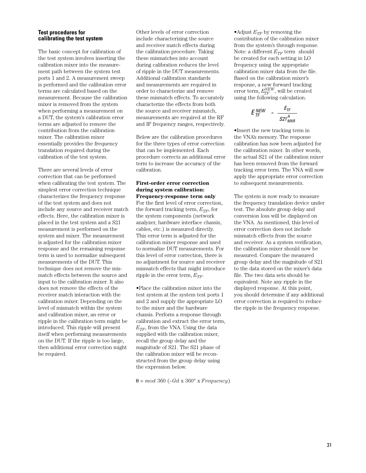#### **Test procedures for calibrating the test system**

The basic concept for calibration of the test system involves inserting the calibration mixer into the measurement path between the system test ports 1 and 2. A measurement sweep is performed and the calibration error terms are calculated based on the measurement. Because the calibration mixer is removed from the system when performing a measurement on a DUT, the system's calibration error terms are adjusted to remove the contribution from the calibration mixer. The calibration mixer essentially provides the frequency translation required during the calibration of the test system.

There are several levels of error correction that can be performed when calibrating the test system. The simplest error correction technique characterizes the frequency response of the test system and does not include any source and receiver match effects. Here, the calibration mixer is placed in the test system and a S21 measurement is performed on the system and mixer. The measurement is adjusted for the calibration mixer response and the remaining response term is used to normalize subsequent measurements of the DUT. This technique does not remove the mismatch effects between the source and input to the calibration mixer. It also does not remove the effects of the receiver match interaction with the calibration mixer. Depending on the level of mismatch within the system and calibration mixer, an error or ripple in the calibration term might be introduced. This ripple will present itself when performing measurements on the DUT. If the ripple is too large, then additional error correction might be required.

Other levels of error correction include characterizing the source and receiver match effects during the calibration procedure. Taking these mismatches into account during calibration reduces the level of ripple in the DUT measurements. Additional calibration standards and measurements are required in order to characterize and remove these mismatch effects. To accurately characterize the effects from both the source and receiver mismatch, measurements are required at the RF and IF frequency ranges, respectively.

Below are the calibration procedures for the three types of error correction that can be implemented. Each procedure corrects an additional error term to increase the accuracy of the calibration.

#### **First-order error correction during system calibration: Frequency-response term only**

For the first level of error correction, the forward tracking term,  $E_{TF}$ , for the system components (network analyzer, hardware interface chassis, cables, etc.) is measured directly. This error term is adjusted for the calibration mixer response and used to normalize DUT measurements. For this level of error correction, there is no adjustment for source and receiver mismatch effects that might introduce ripple in the error term,  $E_{TF}$ .

•Place the calibration mixer into the test system at the system test ports 1 and 2 and supply the appropriate LO to the mixer and the hardware chassis. Perform a response through calibration and extract the error term,  $E_{TF}$ , from the VNA. Using the data supplied with the calibration mixer, recall the group delay and the magnitude of S21. The S21 phase of the calibration mixer will be reconstructed from the group delay using the expression below.

θ = *mod* 360 (–*Gd* x 360° x *Frequency*)

•Adjust  $E_{TF}$  by removing the contribution of the calibration mixer from the system's through response. Note: a different  $E_{TF}$  term should be created for each setting in LO frequency using the appropriate calibration mixer data from the file. Based on the calibration mixer's response, a new forward tracking error term,  $E_{TF}^{NEW}$ , will be created using the following calculation.

$$
E_{TF}^{NEW} = \frac{E_{TF}}{S21_{MXR}^A}
$$

•Insert the new tracking term in the VNA's memory. The response calibration has now been adjusted for the calibration mixer. In other words, the actual S21 of the calibration mixer has been removed from the forward tracking error term. The VNA will now apply the appropriate error correction to subsequent measurements.

The system is now ready to measure the frequency translation device under test. The absolute group delay and conversion loss will be displayed on the VNA. As mentioned, this level of error correction does not include mismatch effects from the source and receiver. As a system verification, the calibration mixer should now be measured. Compare the measured group delay and the magnitude of S21 to the data stored on the mixer's data file. The two data sets should be equivalent. Note any ripple in the displayed response. At this point, you should determine if any additional error correction is required to reduce the ripple in the frequency response.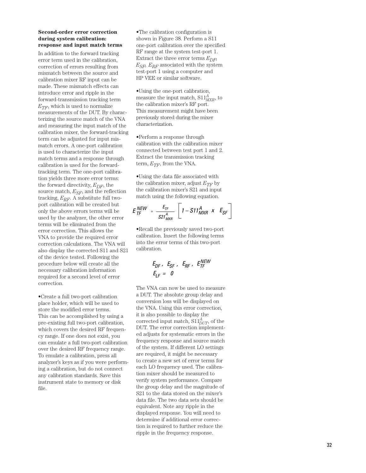#### **Second-order error correction during system calibration: response and input match terms**

In addition to the forward tracking error term used in the calibration, correction of errors resulting from mismatch between the source and calibration mixer RF input can be made. These mismatch effects can introduce error and ripple in the forward-transmission tracking term  $E_{TF}$ , which is used to normalize measurements of the DUT. By characterizing the source match of the VNA and measuring the input match of the calibration mixer, the forward-tracking term can be adjusted for input mismatch errors. A one-port calibration is used to characterize the input match terms and a response through calibration is used for the forwardtracking term. The one-port calibration yields three more error terms: the forward directivity, *EDF*, the source match, *ESF*, and the reflection tracking, *ERF*. A substitute full twoport calibration will be created but only the above errors terms will be used by the analyzer, the other error terms will be eliminated from the error correction. This allows the VNA to provide the required error correction calculations. The VNA will also display the corrected S11 and S21 of the device tested. Following the procedure below will create all the necessary calibration information required for a second level of error correction.

•Create a full two-port calibration place holder, which will be used to store the modified error terms. This can be accomplished by using a pre-existing full two-port calibration, which covers the desired RF frequency range. If one does not exist, you can emulate a full two-port calibration over the desired RF frequency range. To emulate a calibration, press all analyzer's keys as if you were performing a calibration, but do not connect any calibration standards. Save this instrument state to memory or disk file.

•The calibration configuration is shown in Figure 38. Perform a S11 one-port calibration over the specified RF range at the system test-port 1. Extract the three error terms  $E_{DF}$ , *ESF, ERF* associated with the system test-port 1 using a computer and HP VEE or similar software.

•Using the one-port calibration, measure the input match, S11 *A MXR*, to the calibration mixer's RF port. This measurement might have been previously stored during the mixer characterization.

•Perform a response through calibration with the calibration mixer connected between test port 1 and 2. Extract the transmission tracking term,  $E_{TF}$ , from the VNA.

•Using the data file associated with the calibration mixer, adjust  $E_{TF}$  by the calibration mixer's S21 and input match using the following equation.

$$
E_{TF}^{NEW} = \frac{E_{TF}}{S21_{MXR}^{A}} \left[ 1 - S11_{MXR}^{A} \times E_{SF} \right]
$$

•Recall the previously saved two-port calibration. Insert the following terms into the error terms of this two-port calibration.

$$
E_{DF}, E_{SF}, E_{RF}, E_{TF}^{NEW}
$$
  

$$
E_{LF} = 0
$$

The VNA can now be used to measure a DUT. The absolute group delay and conversion loss will be displayed on the VNA. Using this error correction, it is also possible to display the corrected input match,  $S11^A_{DUT}$ , of the DUT. The error correction implemented adjusts for systematic errors in the frequency response and source match of the system. If different LO settings are required, it might be necessary to create a new set of error terms for each LO frequency used. The calibration mixer should be measured to verify system performance. Compare the group delay and the magnitude of S21 to the data stored on the mixer's data file. The two data sets should be equivalent. Note any ripple in the displayed response. You will need to determine if additional error correction is required to further reduce the ripple in the frequency response.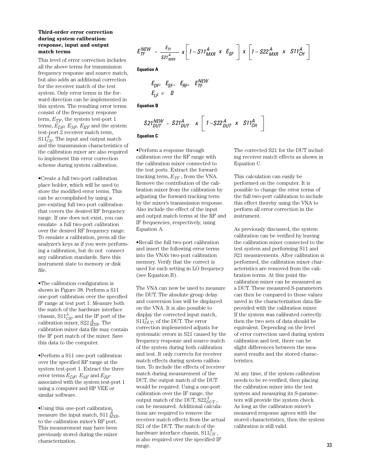#### **Third-order error correction during system calibration: response, input and output match terms**

This level of error correction includes all the above terms for transmission frequency response and source match, but also adds an additional correction for the receiver match of the test system. Only error terms in the forward direction can be implemented in this system. The resulting error terms consist of the frequency response term,  $E_{TF}$ , the system test-port 1 terms,  $E_{DF}$ ,  $E_{SF}$ ,  $E_{RF}$  and the system test-port 2 receiver match term,  $S11^{\overline{A}}_{CH}$ . The input and output match and the transmission characteristics of the calibration mixer are also required to implement this error correction scheme during system calibration.

•Create a full two-port calibration place holder, which will be used to store the modified error terms. This can be accomplished by using a pre-existing full two-port calibration that covers the desired RF frequency range. If one does not exist, you can emulate a full two-port calibration over the desired RF frequency range. To emulate a calibration, press all the analyzer's keys as if you were performing a calibration, but do not connect any calibration standards. Save this instrument state to memory or disk file.

•The calibration configuration is shown in Figure 38. Perform a S11 one-port calibration over the specified IF range at test port 1. Measure both the match of the hardware interface chassis,  $S11^A_{CH}$ , and the IF port of the calibration mixer, S22 *<sup>A</sup> MXR*. The calibration mixer data file may contain the IF port match of the mixer. Save this data to the computer.

•Perform a S11 one-port calibration over the specified RF range at the system test-port 1. Extract the three error terms *EDF, ESF* and *ERF* associated with the system test-port 1 using a computer and HP VEE or similar software.

•Using this one-port calibration, measure the input match, S11 *<sup>A</sup> MXR*, to the calibration mixer's RF port. This measurement may have been previously stored during the mixer characterization.

$$
E_{TF}^{NEW} = \frac{E_{TF}}{S21_{MXR}^A} \times \left[1 - S11_{MXR}^A \times E_{SF}\right] \times \left[1 - S22_{MXR}^A \times S11_{CH}^A\right]
$$

**Equation A**

$$
E_{DF}, E_{SF}, E_{RF}, E_{TF}^{NEW}
$$
  

$$
E_{LF} = 0
$$

**Equation B**

$$
S21_{DUT}^{NEW} = S21_{DUT}^{A} \times \left[1 - S22_{DUT}^{A} \times S11_{CH}^{A}\right]
$$

**Equation C**

•Perform a response through calibration over the RF range with the calibration mixer connected to the test ports. Extract the forwardtracking term,  $E_{TF}$ , from the VNA. Remove the contribution of the calibration mixer from the calibration by adjusting the forward-tracking term by the mixer's transmission response. Also include the effect of the input and output match terms at the RF and IF frequencies, respectively, using Equation A.

•Recall the full two-port calibration and insert the following error terms into the VNA's two-port calibration memory. Verify that the correct is used for each setting in LO frequency (see Equation B).

The VNA can now be used to measure the DUT. The absolute group delay and conversion loss will be displayed on the VNA. It is also possible to display the corrected input match,  $S1_{DUT}^A$ , of the DUT. The error correction implemented adjusts for systematic errors in S21 caused by the frequency response and source match of the system during both calibration and test. It only corrects for receiver match effects during system calibration. To include the effects of receiver match during measurement of the DUT, the output match of the DUT would be required. Using a one-port calibration over the IF range, the output match of the DUT,  $S22_{DUT}^A$ , can be measured. Additional calculations are required to remove the receiver match effects from the actual S21 of the DUT. The match of the hardware interface chassis,  $\text{S11}^A_{CH}$  , is also required over the specified IF range.

The corrected S21 for the DUT including receiver match effects as shown in Equation C.

This calculation can easily be performed on the computer. It is possible to change the error terms of the full two-port calibration to include this effect thereby using the VNA to perform all error correction in the instrument.

As previously discussed, the system calibration can be verified by leaving the calibration mixer connected to the test system and performing S11 and S21 measurements. After calibration is performed, the calibration mixer characteristics are removed from the calibration terms. At this point the calibration mixer can be measured as a DUT. These measured S-parameters can then be compared to those values saved in the characterization data file provided with the calibration mixer. If the system was calibrated correctly then the two sets of data should be equivalent. Depending on the level of error correction used during system calibration and test, there can be slight differences between the measured results and the stored characteristics.

At any time, if the system calibration needs to be re-verified, then placing the calibration mixer into the test system and measuring its S-parameters will provide the system check. As long as the calibration mixer's measured response agrees with the stored characteristics, then the system calibration is still valid.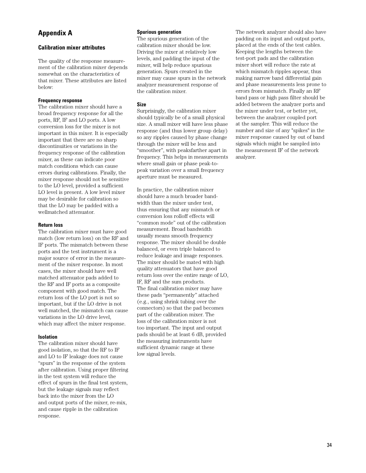# **Appendix A**

## **Calibration mixer attributes**

The quality of the response measurement of the calibration mixer depends somewhat on the characteristics of that mixer. These attributes are listed below:

#### **Frequency response**

The calibration mixer should have a broad frequency response for all the ports, RF, IF and LO ports. A low conversion loss for the mixer is not important in this mixer. It is especially important that there are no sharp discontinuities or variations in the frequency response of the calibration mixer, as these can indicate poor match conditions which can cause errors during calibrations. Finally, the mixer response should not be sensitive to the LO level, provided a sufficient LO level is present. A low level mixer may be desirable for calibration so that the LO may be padded with a wellmatched attenuator.

#### **Return loss**

The calibration mixer must have good match (low return loss) on the RF and IF ports. The mismatch between these ports and the test instrument is a major source of error in the measurement of the mixer response. In most cases, the mixer should have well matched attenuator pads added to the RF and IF ports as a composite component with good match. The return loss of the LO port is not so important, but if the LO drive is not well matched, the mismatch can cause variations in the LO drive level, which may affect the mixer response.

#### **Isolation**

The calibration mixer should have good isolation, so that the RF to IF and LO to IF leakage does not cause "spurs" in the response of the system after calibration. Using proper filtering in the test system will reduce the effect of spurs in the final test system, but the leakage signals may reflect back into the mixer from the LO and output ports of the mixer, re-mix, and cause ripple in the calibration response.

#### **Spurious generation**

The spurious generation of the calibration mixer should be low. Driving the mixer at relatively low levels, and padding the input of the mixer, will help reduce spurious generation. Spurs created in the mixer may cause spurs in the network analyzer measurement response of the calibration mixer.

#### **Size**

Surprisingly, the calibration mixer should typically be of a small physical size. A small mixer will have less phase response (and thus lower group delay) so any ripples caused by phase change through the mixer will be less and "smoother", with peaksfarther apart in frequency. This helps in measurements where small gain or phase peak-topeak variation over a small frequency aperture must be measured.

In practice, the calibration mixer should have a much broader bandwidth than the mixer under test, thus ensuring that any mismatch or conversion loss rolloff effects will "common mode" out of the calibration measurement. Broad bandwidth usually means smooth frequency response. The mixer should be double balanced, or even triple balanced to reduce leakage and image responses. The mixer should be mated with high quality attenuators that have good return loss over the entire range of LO, IF, RF and the sum products. The final calibration mixer may have these pads "permanently" attached (e.g., using shrink tubing over the connectors) so that the pad becomes part of the calibration mixer. The loss of the calibration mixer is not too important. The input and output pads should be at least 6 dB, provided the measuring instruments have sufficient dynamic range at these low signal levels.

The network analyzer should also have padding on its input and output ports, placed at the ends of the test cables. Keeping the lengths between the test-port pads and the calibration mixer short will reduce the rate at which mismatch ripples appear, thus making narrow band differential gain and phase measurements less prone to errors from mismatch. Finally an RF band pass or high pass filter should be added between the analyzer ports and the mixer under test, or better yet, between the analyzer coupled port at the sampler. This will reduce the number and size of any "spikes" in the mixer response caused by out of band signals which might be sampled into the measurement IF of the network analyzer.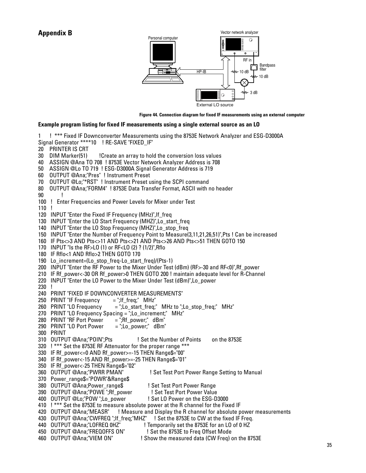

**Figure 44. Connection diagram for fixed IF measurements using an external computer** 

#### **Example program listing for fixed IF measurements using a single external source as an LO**

1 ! \*\*\* Fixed IF Downconverter Measurements using the 8753E Network Analyzer and ESG-D3000A Signal Generator \*\*\*\*10 ! RE-SAVE "FIXED\_IF"

- 20 PRINTER IS CRT
- 30 DIM Marker(51) !Create an array to hold the conversion loss values
- 40 ASSIGN @Ana TO 708 ! 8753E Vector Network Analyzer Address is 708
- 50 ASSIGN @Lo TO 719 ! ESG-D3000A Signal Generator Address is 719
- 60 OUTPUT @Ana;"Pres" ! Instrument Preset
- 70 OUTPUT @Lo;"\*RST" ! Instrument Preset using the SCPI command
- 80 OUTPUT @Ana;"FORM4" ! 8753E Data Transfer Format, ASCII with no header
- 90 !
- 100 ! Enter Frequencies and Power Levels for Mixer under Test
- 110 !
- 120 INPUT "Enter the Fixed IF Frequency (MHz)", If freq
- 130 INPUT "Enter the LO Start Frequency (MHZ)", Lo start freq
- 140 INPUT "Enter the LO Stop Frequency (MHZ)",Lo\_stop\_freq
- 150 INPUT "Enter the Number of Frequency Point to Measure(3,11,21,26,51)",Pts ! Can be increased
- 160 IF Pts<>3 AND Pts<>11 AND Pts<>21 AND Pts<>26 AND Pts<>51 THEN GOTO 150
- 170 INPUT "Is the RF>LO (1) or RF<LO (2) ? (1/2)",Rflo
- 180 IF Rflo<1 AND Rflo>2 THEN GOTO 170
- 190 Lo increment=(Lo stop freq-Lo start freq)/(Pts-1)
- 200 INPUT "Enter the RF Power to the Mixer Under Test (dBm) (RF>-30 and RF<0)",Rf\_power
- 210 IF Rf\_power<-30 OR Rf\_power>0 THEN GOTO 200 ! maintain adequate level for R-Channel
- 220 INPUT "Enter the LO Power to the Mixer Under Test (dBm)". Lo power
- 230 !
- 240 PRINT "FIXED IF DOWNCONVERTER MEASUREMENTS"<br>250 PRINT "IF Frequency = ";If freq;" MHz"
- 250 PRINT "IF Frequency
- 260 PRINT "LO Frequency  $=$  ";Lo\_start\_freq;" MHz to ";Lo\_stop\_freq;" MHz"
- 270 PRINT "LO Frequency Spacing = ";Lo increment;" MHz"
- 280 PRINT "RF Port Power  $=$  ";Rf\_power;" dBm"
- 290 PRINT "LO Port Power  $=$  ";Lo\_power;" dBm"
- 300 PRINT
- 310 OUTPUT @Ana;"POIN";Pts ! Set the Number of Points on the 8753E
- 320 ! \*\*\* Set the 8753E RF Attenuator for the proper range \*\*\*
- 330 IF Rf\_power<=0 AND Rf\_power>=-15 THEN Range\$="00"
- 340 IF Rf\_power<-15 AND Rf\_power>=-25 THEN Range\$="01"
- 
- 350 IF Rf\_power<-25 THEN Range\$="02"
- 370 Power range\$="POWR"&Range\$
	-
- 380 OUTPUT @Ana;Power\_range\$ 1991 Set Test Port Power Range<br>1990 OUTPUT @Ana:"POWE ":Rf power 1991 Set Test Port Power Value
- 390 OUTPUT @Ana;"POWE";Rf\_power 400 OUTPUT @Lo;"POW ";Lo\_power ! Set LO Power on the ESG-D3000
- 
- 410 ! \*\*\* Set the 8753E to measure absolute power at the R channel for the Fixed IF<br>420 OUTPUT @Ana;"MEASR" ! Measure and Display the R channel for absolute p ! Measure and Display the R channel for absolute power measurements

! Set Test Port Power Range Setting to Manual

- 430 OUTPUT @Ana;"CWFREQ ";If freq;"MHZ" ! Set the 8753E to CW at the fixed IF Freq.
- 440 OUTPUT @Ana;"LOFREQ 0HZ" ! Temporarily set the 8753E for an LO of 0 HZ
- 450 OUTPUT @Ana;"FREQOFFS ON" ! Set the 8753E to Freq Offset Mode
- 460 OUTPUT @Ana;"VIEM ON" ! Show the measured data (CW Freq) on the 8753E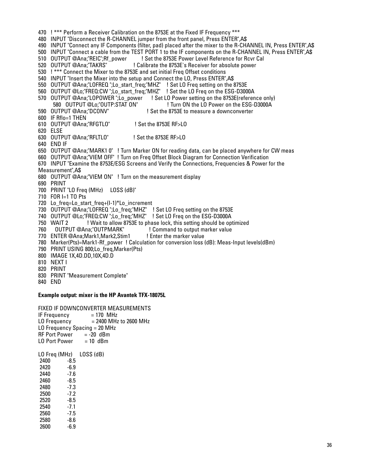470 ! \*\*\* Perform a Receiver Calibration on the 8753E at the Fixed IF Frequency \*\*\* 480 INPUT "Disconnect the R-CHANNEL jumper from the front panel, Press ENTER",A\$ 490 INPUT "Connect any IF Components (filter, pad) placed after the mixer to the R-CHANNEL IN, Press ENTER",A\$ 500 INPUT "Connect a cable from the TEST PORT 1 to the IF components on the R-CHANNEL IN, Press ENTER",A\$ 510 OUTPUT @Ana;'REIC";Rf\_power | Set the 8753E Power Level Reference for Rcvr Cal<br>520 OUTPUT @Ana;'TAKRS' | Calibrate the 8753E's Receiver for absolute power ! Calibrate the 8753E's Receiver for absolute power 530 ! \*\*\* Connect the Mixer to the 8753E and set initial Freq Offset conditions 540 INPUT "Insert the Mixer into the setup and Connect the LO, Press ENTER",A\$ 550 OUTPUT @Ana;"LOFREQ ";Lo\_start\_freq;"MHZ" ! Set LO Freq setting on the 8753E 560 OUTPUT @Lo;"FREQ:CW ";Lo\_start\_freq;"MHZ" ! Set the LO Freq on the ESG-D3000A 570 OUTPUT @Ana;"LOPOWER ";Lo\_power ! Set LO Power setting on the 8753E(reference only)<br>580 OUTPUT @Lo:"OUTP:STAT ON" ! Turn ON the LO Power on the ESG-D3000A 580 OUTPUT @Lo;"OUTP:STAT ON" ! Turn ON the LO Power on the ESG-D3000A<br>590 OUTPUT @Ana;"DCONV" ! Set the 8753E to measure a downconverter ! Set the 8753E to measure a downconverter 600 IF Rflo=1 THEN 610 OUTPUT @Ana;"RFGTLO" ! Set the 8753E RF>LO 620 ELSE 630 OUTPUT @Ana;"RFLTLO" ! Set the 8753E RF>LO 640 END IF 650 OUTPUT @Ana;"MARK1 0" ! Turn Marker ON for reading data, can be placed anywhere for CW meas 660 OUTPUT @Ana;"VIEM OFF" ! Turn on Freq Offset Block Diagram for Connection Verification 670 INPUT "Examine the 8753E/ESG Screens and Verify the Connections, Frequencies & Power for the Measurement",A\$ 680 OUTPUT @Ana;"VIEM ON" ! Turn on the measurement display 690 PRINT 700 PRINT "LO Freq (MHz) LOSS (dB)" 710 FOR I=1 TO Pts 720 Lo freq=Lo start freq+(I-1)\*Lo increment 730 OUTPUT @Ana;"LOFREQ ";Lo freq;"MHZ" ! Set LO Freq setting on the 8753E 740 OUTPUT @Lo;"FREQ:CW ";Lo\_freq;"MHZ" ! Set LO Freq on the ESG-D3000A 750 WAIT 2 ! Wait to allow 8753E to phase lock, this setting should be optimized 760 0UTPUT @Ana;"OUTPMARK" ! Command to output marker value 770 ENTER @Ana;Mark1,Mark2,Stim1 ! Enter the marker value 780 Marker(Pts)=Mark1-Rf\_power ! Calculation for conversion loss (dB): Meas-Input levels(dBm) 790 PRINT USING 800;Lo freq,Marker(Pts) 800 IMAGE 1X,4D.DD,10X,4D.D 810 NEXT I 820 PRINT 830 PRINT "Measurement Complete" 840 END

## **Example output: mixer is the HP Avantek TFX-18075L**

FIXED IF DOWNCONVERTER MEASUREMENTS IF Frequency  $= 170$  MHz<br>LO Frequency  $= 2400$  MHz  $= 2400$  MHz to 2600 MHz LO Frequency Spacing = 20 MHz RF Port Power =  $-20$  dBm<br>10 Port Power =  $10$  dBm LO Port Power

LO Freq (MHz) LOSS (dB) 2400 -8.5<br>2420 -6.9 2420 2440 -7.6<br>2460 -8.5 2460 -8.5<br>2480 -7.3 2480 2500 -7.2 2520 -8.5<br>2540 -7.1 2540 2560 -7.5 2580 -8.6<br>2600 -6.9 2600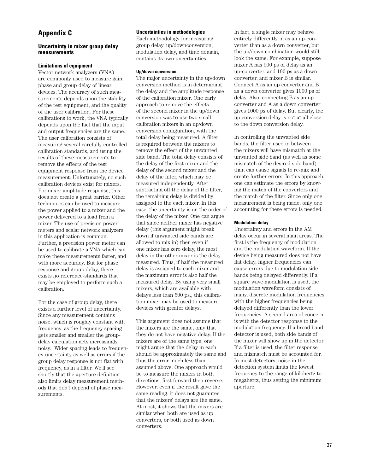# **Appendix C**

#### **Uncertainty in mixer group delay measurements**

#### **Limitations of equipment**

Vector network analyzers (VNA) are commonly used to measure gain, phase and group delay of linear devices. The accuracy of such measurements depends upon the stability of the test equipment, and the quality of the user calibration. For these calibrations to work, the VNA typically depends upon the fact that the input and output frequencies are the same. The user calibration consists of measuring several carefully controlled calibration standards, and using the results of these measurements to remove the effects of the test equipment response from the device measurement. Unfortunately, no such calibration devices exist for mixers. For mixer amplitude response, this does not create a great barrier. Other techniques can be used to measure the power applied to a mixer and the power delivered to a load from a mixer. The use of precision power meters and scalar network analyzers in this application is common. Further, a precision power meter can be used to calibrate a VNA which can make these measurements faster, and with more accuracy. But for phase response and group delay, there exists no reference-standards that may be employed to perform such a calibration.

For the case of group delay, there exists a further level of uncertainty. Since any measurement contains noise, which is roughly constant with frequency, as the frequency spacing gets smaller and smaller the groupdelay calculation gets increasingly noisy. Wider spacing leads to frequency uncertainty as well as errors if the group delay response is not flat with frequency, as in a filter. We'll see shortly that the aperture definition also limits delay measurement methods that don't depend of phase measurements.

#### **Uncertainties in methodologies**

Each methodology for measuring group delay, up/downconversion, modulation delay, and time domain, contains its own uncertainties.

#### **Up/down conversion**

The major uncertainty in the up/down conversion method is in determining the delay and the amplitude response of the calibration mixer. One early approach to remove the effects of the second mixer in the up/down conversion was to use two small calibration mixers in an up/down conversion configuration, with the total delay being measured. A filter is required between the mixers to remove the effect of the unwanted side band. The total delay consists of the delay of the first mixer and the delay of the second mixer and the delay of the filter, which may be measured independently. After subtracting off the delay of the filter, the remaining delay is divided by assigned to the each mixer. In this case, the uncertainty is on the order of the delay of the mixer. One can argue that since neither mixer has negative delay (this argument might break down if unwanted side bands are allowed to mix in) then even if one mixer has zero delay, the most delay in the other mixer is the delay measured. Thus, if half the measured delay is assigned to each mixer and the maximum error is also half the measured delay. By using very small mixers, which are available with delays less than 500 ps., this calibration mixer may be used to measure devices with greater delays.

This argument does not assume that the mixers are the same, only that they do not have negative delay. If the mixers are of the same type, one might argue that the delay in each should be approximately the same and thus the error much less than assumed above. One approach would be to measure the mixers in both directions, first forward then reverse. However, even if the result gave the same reading, it does not guarantee that the mixers' delays are the same. At most, it shows that the mixers are similar when both are used as up converters, or both used as down converters.

In fact, a single mixer may behave entirely differently in as an up-converter than as a down converter, but the up/down combination would still look the same. For example, suppose mixer A has 900 ps of delay as an up-converter, and 100 ps as a down converter, and mixer B is similar. Connect A as an up converter and B as a down converter gives 1000 ps of delay. Also, connecting B as an up converter and A as a down converter gives 1000 ps of delay. But clearly, the up conversion delay is not at all close to the down conversion delay.

In controlling the unwanted side bands, the filter used in between the mixers will have mismatch at the unwanted side band (as well as some mismatch of the desired side band) than can cause signals to re-mix and create further errors. In this approach, one can estimate the errors by knowing the match of the converters and the match of the filter. Since only one measurement is being made, only one accounting for these errors is needed.

#### **Modulation delay**

Uncertainty and errors in the AM delay occur in several main areas. The first is the frequency of modulation and the modulation waveform. If the device being measured does not have flat delay, higher frequencies can cause errors due to modulation side bands being delayed differently. If a square wave modulation is used, the modulation waveform consists of many, discrete modulation frequencies with the higher frequencies being delayed differently than the lower frequencies. A second area of concern is with the detector response to the modulation frequency. If a broad band detector is used, both side bands of the mixer will show up in the detector. If a filter is used, the filter response and mismatch must be accounted for. In most detectors, noise in the detection system limits the lowest frequency to the range of kilohertz to megahertz, thus setting the minimum aperture.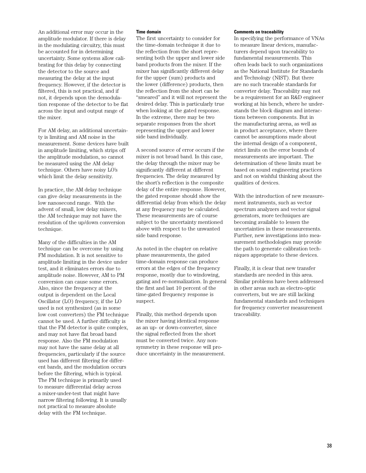An additional error may occur in the amplitude modulator. If there is delay in the modulating circuitry, this must be accounted for in determining uncertainty. Some systems allow calibrating for this delay by connecting the detector to the source and measuring the delay at the input frequency. However, if the detector is filtered, this is not practical, and if not, it depends upon the demodulation response of the detector to be flat across the input and output range of the mixer.

For AM delay, an additional uncertainty is limiting and AM noise in the measurement. Some devices have built in amplitude limiting, which strips off the amplitude modulation, so cannot be measured using the AM delay technique. Others have noisy LO's which limit the delay sensitivity.

In practice, the AM delay technique can give delay measurements in the low nanosecond range. With the advent of small, low delay mixers, the AM technique may not have the resolution of the up/down conversion technique.

Many of the difficulties in the AM technique can be overcome by using FM modulation. It is not sensitive to amplitude limiting in the device under test, and it eliminates errors due to amplitude noise. However, AM to PM conversion can cause some errors. Also, since the frequency at the output is dependent on the Local Oscillator (LO) frequency, if the LO used is not synthesized (as in some low cost converters) the FM technique cannot be used. A further difficulty is that the FM detector is quite complex, and may not have flat broad band response. Also the FM modulation may not have the same delay at all frequencies, particularly if the source used has different filtering for different bands, and the modulation occurs before the filtering, which is typical. The FM technique is primarily used to measure differential delay across a mixer-under-test that might have narrow filtering following. It is usually not practical to measure absolute delay with the FM technique.

#### **Time domain**

The first uncertainty to consider for the time-domain technique it due to the reflection from the short representing both the upper and lower side band products from the mixer. If the mixer has significantly different delay for the upper (sum) products and the lower (difference) products, then the reflection from the short can be "smeared" and it will not represent the desired delay. This is particularly true when looking at the gated response. In the extreme, there may be two separate responses from the short representing the upper and lower side band individually.

A second source of error occurs if the mixer is not broad band. In this case, the delay through the mixer may be significantly different at different frequencies. The delay measured by the short's reflection is the composite delay of the entire response. However, the gated response should show the differential delay from which the delay at any frequency may be calculated. These measurements are of course subject to the uncertainty mentioned above with respect to the unwanted side band response.

As noted in the chapter on relative phase measurements, the gated time-domain response can produce errors at the edges of the frequency response, mostly due to windowing, gating and re-normalization. In general the first and last 10 percent of the time-gated frequency response is suspect.

Finally, this method depends upon the mixer having identical response as an up- or down-converter, since the signal reflected from the short must be converted twice. Any nonsymmetry in these response will produce uncertainty in the measurement.

#### **Comments on traceability**

In specifying the performance of VNAs to measure linear devices, manufacturers depend upon traceability to fundamental measurements. This often leads back to such organizations as the National Institute for Standards and Technology (NIST). But there are no such traceable standards for converter delay. Traceability may not be a requirement for an R&D engineer working at his bench, where he understands the block diagram and interactions between components. But in the manufacturing arena, as well as in product acceptance, where there cannot be assumptions made about the internal design of a component, strict limits on the error bounds of measurements are important. The determination of these limits must be based on sound engineering practices and not on wishful thinking about the qualities of devices.

With the introduction of new measurement instruments, such as vector spectrum analyzers and vector signal generators, more techniques are becoming available to lessen the uncertainties in these measurements. Further, new investigations into measurement methodologies may provide the path to generate calibration techniques appropriate to these devices.

Finally, it is clear that new transfer standards are needed in this area. Similar problems have been addressed in other areas such as electro-optic converters, but we are still lacking fundamental standards and techniques for frequency converter measurement traceability.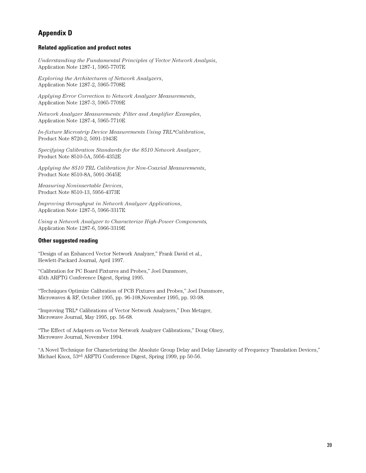# **Appendix D**

#### **Related application and product notes**

*Understanding the Fundamental Principles of Vector Network Analysis*, Application Note 1287-1, 5965-7707E

*Exploring the Architectures of Network Analyzers*, Application Note 1287-2, 5965-7708E

*Applying Error Correction to Network Analyzer Measurements*, Application Note 1287-3, 5965-7709E

*Network Analyzer Measurements: Filter and Amplifier Examples*, Application Note 1287-4, 5965-7710E

*In-fixture Microstrip Device Measurements Using TRL\*Calibration*, Product Note 8720-2, 5091-1943E

*Specifying Calibration Standards for the 8510 Network Analyzer*, Product Note 8510-5A, 5956-4352E

*Applying the 8510 TRL Calibration for Non-Coaxial Measurements*, Product Note 8510-8A, 5091-3645E

*Measuring Noninsertable Devices*, Product Note 8510-13, 5956-4373E

*Improving throughput in Network Analyzer Applications*, Application Note 1287-5, 5966-3317E

*Using a Network Analyzer to Characterize High-Power Components,* Application Note 1287-6, 5966-3319E

#### **Other suggested reading**

"Design of an Enhanced Vector Network Analyzer," Frank David et al., Hewlett-Packard Journal, April 1997.

"Calibration for PC Board Fixtures and Probes," Joel Dunsmore, 45th ARFTG Conference Digest, Spring 1995.

"Techniques Optimize Calibration of PCB Fixtures and Probes," Joel Dunsmore, Microwaves & RF, October 1995, pp. 96-108,November 1995, pp. 93-98.

"Improving TRL\* Calibrations of Vector Network Analyzers," Don Metzger, Microwave Journal, May 1995, pp. 56-68.

"The Effect of Adapters on Vector Network Analyzer Calibrations," Doug Olney, Microwave Journal, November 1994.

"A Novel Technique for Characterizing the Absolute Group Delay and Delay Linearity of Frequency Translation Devices," Michael Knox, 53rd ARFTG Conference Digest, Spring 1999, pp 50-56.